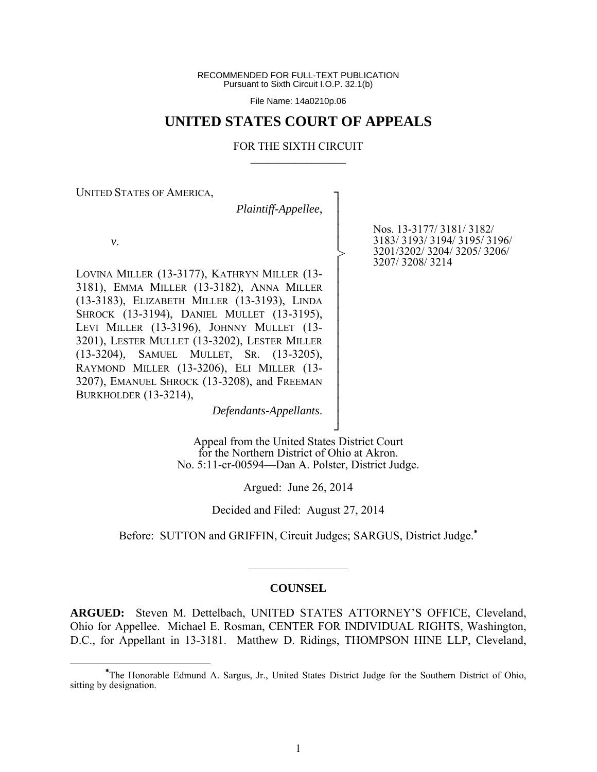RECOMMENDED FOR FULL-TEXT PUBLICATION Pursuant to Sixth Circuit I.O.P. 32.1(b)

File Name: 14a0210p.06

# **UNITED STATES COURT OF APPEALS**

### FOR THE SIXTH CIRCUIT  $\mathcal{L}_\text{max}$

┐ │ │ │ │ │ │ │ │ │ │ │ │ │ │ │ │ │

>

UNITED STATES OF AMERICA,

*Plaintiff-Appellee*,

*v*.

LOVINA MILLER (13-3177), KATHRYN MILLER (13- 3181), EMMA MILLER (13-3182), ANNA MILLER (13-3183), ELIZABETH MILLER (13-3193), LINDA SHROCK (13-3194), DANIEL MULLET (13-3195), LEVI MILLER (13-3196), JOHNNY MULLET (13- 3201), LESTER MULLET (13-3202), LESTER MILLER (13-3204), SAMUEL MULLET, SR. (13-3205), RAYMOND MILLER (13-3206), ELI MILLER (13- 3207), EMANUEL SHROCK (13-3208), and FREEMAN BURKHOLDER (13-3214),

Nos. 13-3177/ 3181/ 3182/ 3183/ 3193/ 3194/ 3195/ 3196/ 3201/3202/ 3204/ 3205/ 3206/ 3207/ 3208/ 3214

*Defendants-Appellants*.

┘ Appeal from the United States District Court for the Northern District of Ohio at Akron. No. 5:11-cr-00594—Dan A. Polster, District Judge.

Argued: June 26, 2014

Decided and Filed: August 27, 2014

Before: SUTTON and GRIFFIN, Circuit Judges; SARGUS, District Judge.<sup>\*</sup>

#### **COUNSEL**

 $\frac{1}{2}$ 

**ARGUED:** Steven M. Dettelbach, UNITED STATES ATTORNEY'S OFFICE, Cleveland, Ohio for Appellee. Michael E. Rosman, CENTER FOR INDIVIDUAL RIGHTS, Washington, D.C., for Appellant in 13-3181. Matthew D. Ridings, THOMPSON HINE LLP, Cleveland,

 $\overline{\phantom{a}}$ The Honorable Edmund A. Sargus, Jr., United States District Judge for the Southern District of Ohio, sitting by designation.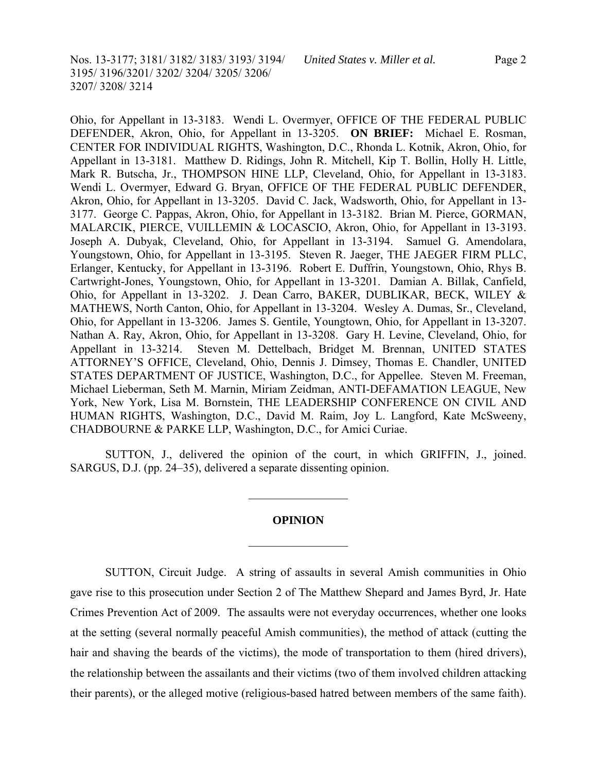Ohio, for Appellant in 13-3183. Wendi L. Overmyer, OFFICE OF THE FEDERAL PUBLIC DEFENDER, Akron, Ohio, for Appellant in 13-3205. **ON BRIEF:** Michael E. Rosman, CENTER FOR INDIVIDUAL RIGHTS, Washington, D.C., Rhonda L. Kotnik, Akron, Ohio, for Appellant in 13-3181. Matthew D. Ridings, John R. Mitchell, Kip T. Bollin, Holly H. Little, Mark R. Butscha, Jr., THOMPSON HINE LLP, Cleveland, Ohio, for Appellant in 13-3183. Wendi L. Overmyer, Edward G. Bryan, OFFICE OF THE FEDERAL PUBLIC DEFENDER, Akron, Ohio, for Appellant in 13-3205. David C. Jack, Wadsworth, Ohio, for Appellant in 13- 3177. George C. Pappas, Akron, Ohio, for Appellant in 13-3182. Brian M. Pierce, GORMAN, MALARCIK, PIERCE, VUILLEMIN & LOCASCIO, Akron, Ohio, for Appellant in 13-3193. Joseph A. Dubyak, Cleveland, Ohio, for Appellant in 13-3194. Samuel G. Amendolara, Youngstown, Ohio, for Appellant in 13-3195. Steven R. Jaeger, THE JAEGER FIRM PLLC, Erlanger, Kentucky, for Appellant in 13-3196. Robert E. Duffrin, Youngstown, Ohio, Rhys B. Cartwright-Jones, Youngstown, Ohio, for Appellant in 13-3201. Damian A. Billak, Canfield, Ohio, for Appellant in 13-3202. J. Dean Carro, BAKER, DUBLIKAR, BECK, WILEY & MATHEWS, North Canton, Ohio, for Appellant in 13-3204. Wesley A. Dumas, Sr., Cleveland, Ohio, for Appellant in 13-3206. James S. Gentile, Youngtown, Ohio, for Appellant in 13-3207. Nathan A. Ray, Akron, Ohio, for Appellant in 13-3208. Gary H. Levine, Cleveland, Ohio, for Appellant in 13-3214. Steven M. Dettelbach, Bridget M. Brennan, UNITED STATES ATTORNEY'S OFFICE, Cleveland, Ohio, Dennis J. Dimsey, Thomas E. Chandler, UNITED STATES DEPARTMENT OF JUSTICE, Washington, D.C., for Appellee. Steven M. Freeman, Michael Lieberman, Seth M. Marnin, Miriam Zeidman, ANTI-DEFAMATION LEAGUE, New York, New York, Lisa M. Bornstein, THE LEADERSHIP CONFERENCE ON CIVIL AND HUMAN RIGHTS, Washington, D.C., David M. Raim, Joy L. Langford, Kate McSweeny, CHADBOURNE & PARKE LLP, Washington, D.C., for Amici Curiae.

 SUTTON, J., delivered the opinion of the court, in which GRIFFIN, J., joined. SARGUS, D.J. (pp. 24–35), delivered a separate dissenting opinion.

### **OPINION**

 $\frac{1}{2}$ 

 $\mathcal{L}_\text{max}$ 

 SUTTON, Circuit Judge. A string of assaults in several Amish communities in Ohio gave rise to this prosecution under Section 2 of The Matthew Shepard and James Byrd, Jr. Hate Crimes Prevention Act of 2009. The assaults were not everyday occurrences, whether one looks at the setting (several normally peaceful Amish communities), the method of attack (cutting the hair and shaving the beards of the victims), the mode of transportation to them (hired drivers), the relationship between the assailants and their victims (two of them involved children attacking their parents), or the alleged motive (religious-based hatred between members of the same faith).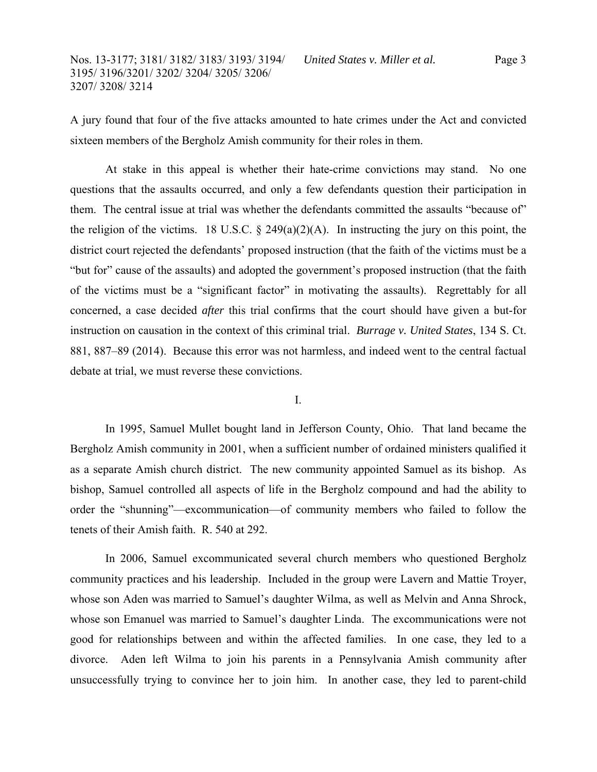A jury found that four of the five attacks amounted to hate crimes under the Act and convicted sixteen members of the Bergholz Amish community for their roles in them.

At stake in this appeal is whether their hate-crime convictions may stand. No one questions that the assaults occurred, and only a few defendants question their participation in them. The central issue at trial was whether the defendants committed the assaults "because of" the religion of the victims. 18 U.S.C. § 249(a)(2)(A).In instructing the jury on this point, the district court rejected the defendants' proposed instruction (that the faith of the victims must be a "but for" cause of the assaults) and adopted the government's proposed instruction (that the faith of the victims must be a "significant factor" in motivating the assaults). Regrettably for all concerned, a case decided *after* this trial confirms that the court should have given a but-for instruction on causation in the context of this criminal trial. *Burrage v. United States*, 134 S. Ct. 881, 887–89 (2014). Because this error was not harmless, and indeed went to the central factual debate at trial, we must reverse these convictions.

#### I.

 In 1995, Samuel Mullet bought land in Jefferson County, Ohio. That land became the Bergholz Amish community in 2001, when a sufficient number of ordained ministers qualified it as a separate Amish church district. The new community appointed Samuel as its bishop. As bishop, Samuel controlled all aspects of life in the Bergholz compound and had the ability to order the "shunning"—excommunication—of community members who failed to follow the tenets of their Amish faith. R. 540 at 292.

 In 2006, Samuel excommunicated several church members who questioned Bergholz community practices and his leadership. Included in the group were Lavern and Mattie Troyer, whose son Aden was married to Samuel's daughter Wilma, as well as Melvin and Anna Shrock, whose son Emanuel was married to Samuel's daughter Linda. The excommunications were not good for relationships between and within the affected families. In one case, they led to a divorce. Aden left Wilma to join his parents in a Pennsylvania Amish community after unsuccessfully trying to convince her to join him. In another case, they led to parent-child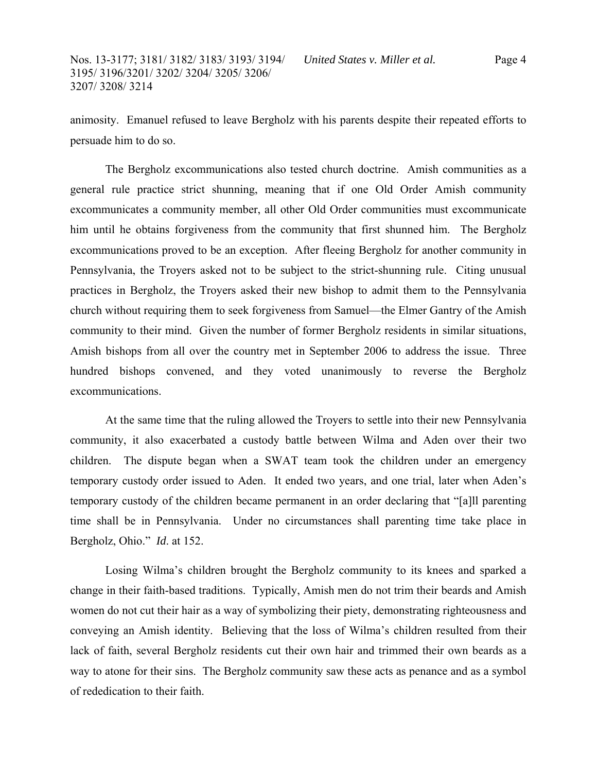animosity. Emanuel refused to leave Bergholz with his parents despite their repeated efforts to persuade him to do so.

 The Bergholz excommunications also tested church doctrine. Amish communities as a general rule practice strict shunning, meaning that if one Old Order Amish community excommunicates a community member, all other Old Order communities must excommunicate him until he obtains forgiveness from the community that first shunned him. The Bergholz excommunications proved to be an exception. After fleeing Bergholz for another community in Pennsylvania, the Troyers asked not to be subject to the strict-shunning rule. Citing unusual practices in Bergholz, the Troyers asked their new bishop to admit them to the Pennsylvania church without requiring them to seek forgiveness from Samuel—the Elmer Gantry of the Amish community to their mind. Given the number of former Bergholz residents in similar situations, Amish bishops from all over the country met in September 2006 to address the issue. Three hundred bishops convened, and they voted unanimously to reverse the Bergholz excommunications.

 At the same time that the ruling allowed the Troyers to settle into their new Pennsylvania community, it also exacerbated a custody battle between Wilma and Aden over their two children. The dispute began when a SWAT team took the children under an emergency temporary custody order issued to Aden. It ended two years, and one trial, later when Aden's temporary custody of the children became permanent in an order declaring that "[a]ll parenting time shall be in Pennsylvania. Under no circumstances shall parenting time take place in Bergholz, Ohio." *Id*. at 152.

 Losing Wilma's children brought the Bergholz community to its knees and sparked a change in their faith-based traditions. Typically, Amish men do not trim their beards and Amish women do not cut their hair as a way of symbolizing their piety, demonstrating righteousness and conveying an Amish identity. Believing that the loss of Wilma's children resulted from their lack of faith, several Bergholz residents cut their own hair and trimmed their own beards as a way to atone for their sins. The Bergholz community saw these acts as penance and as a symbol of rededication to their faith.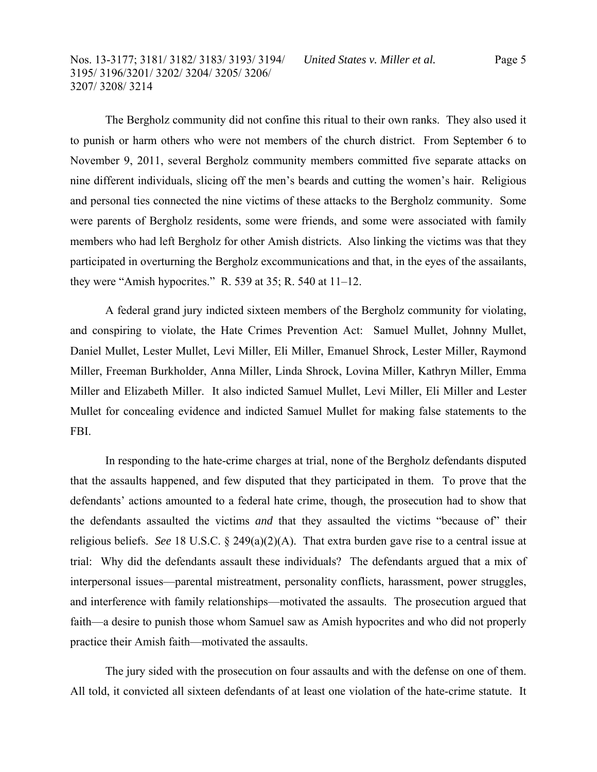The Bergholz community did not confine this ritual to their own ranks. They also used it to punish or harm others who were not members of the church district. From September 6 to November 9, 2011, several Bergholz community members committed five separate attacks on nine different individuals, slicing off the men's beards and cutting the women's hair. Religious and personal ties connected the nine victims of these attacks to the Bergholz community. Some were parents of Bergholz residents, some were friends, and some were associated with family members who had left Bergholz for other Amish districts. Also linking the victims was that they participated in overturning the Bergholz excommunications and that, in the eyes of the assailants, they were "Amish hypocrites." R. 539 at 35; R. 540 at  $11-12$ .

 A federal grand jury indicted sixteen members of the Bergholz community for violating, and conspiring to violate, the Hate Crimes Prevention Act: Samuel Mullet, Johnny Mullet, Daniel Mullet, Lester Mullet, Levi Miller, Eli Miller, Emanuel Shrock, Lester Miller, Raymond Miller, Freeman Burkholder, Anna Miller, Linda Shrock, Lovina Miller, Kathryn Miller, Emma Miller and Elizabeth Miller. It also indicted Samuel Mullet, Levi Miller, Eli Miller and Lester Mullet for concealing evidence and indicted Samuel Mullet for making false statements to the FBI.

In responding to the hate-crime charges at trial, none of the Bergholz defendants disputed that the assaults happened, and few disputed that they participated in them. To prove that the defendants' actions amounted to a federal hate crime, though, the prosecution had to show that the defendants assaulted the victims *and* that they assaulted the victims "because of" their religious beliefs. *See* 18 U.S.C. § 249(a)(2)(A). That extra burden gave rise to a central issue at trial: Why did the defendants assault these individuals? The defendants argued that a mix of interpersonal issues—parental mistreatment, personality conflicts, harassment, power struggles, and interference with family relationships—motivated the assaults. The prosecution argued that faith—a desire to punish those whom Samuel saw as Amish hypocrites and who did not properly practice their Amish faith—motivated the assaults.

The jury sided with the prosecution on four assaults and with the defense on one of them. All told, it convicted all sixteen defendants of at least one violation of the hate-crime statute. It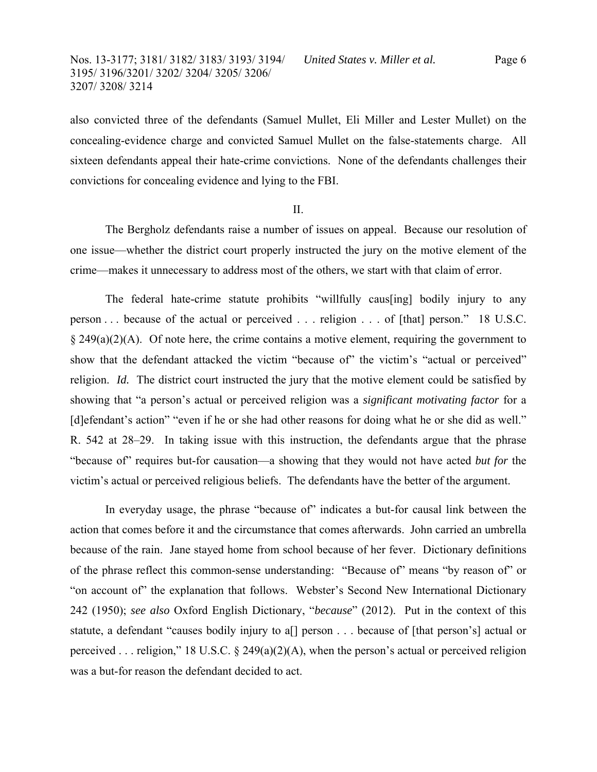also convicted three of the defendants (Samuel Mullet, Eli Miller and Lester Mullet) on the concealing-evidence charge and convicted Samuel Mullet on the false-statements charge. All sixteen defendants appeal their hate-crime convictions. None of the defendants challenges their convictions for concealing evidence and lying to the FBI.

#### II.

The Bergholz defendants raise a number of issues on appeal. Because our resolution of one issue—whether the district court properly instructed the jury on the motive element of the crime—makes it unnecessary to address most of the others, we start with that claim of error.

The federal hate-crime statute prohibits "willfully caus[ing] bodily injury to any person . . . because of the actual or perceived . . . religion . . . of [that] person." 18 U.S.C.  $\S 249(a)(2)(A)$ . Of note here, the crime contains a motive element, requiring the government to show that the defendant attacked the victim "because of" the victim's "actual or perceived" religion. *Id.* The district court instructed the jury that the motive element could be satisfied by showing that "a person's actual or perceived religion was a *significant motivating factor* for a [d]efendant's action" "even if he or she had other reasons for doing what he or she did as well." R. 542 at 28–29. In taking issue with this instruction, the defendants argue that the phrase "because of" requires but-for causation—a showing that they would not have acted *but for* the victim's actual or perceived religious beliefs. The defendants have the better of the argument.

 In everyday usage, the phrase "because of" indicates a but-for causal link between the action that comes before it and the circumstance that comes afterwards. John carried an umbrella because of the rain. Jane stayed home from school because of her fever. Dictionary definitions of the phrase reflect this common-sense understanding: "Because of" means "by reason of" or "on account of" the explanation that follows. Webster's Second New International Dictionary 242 (1950); *see also* Oxford English Dictionary, "*because*" (2012). Put in the context of this statute, a defendant "causes bodily injury to a[] person . . . because of [that person's] actual or perceived . . . religion," 18 U.S.C.  $\S$  249(a)(2)(A), when the person's actual or perceived religion was a but-for reason the defendant decided to act.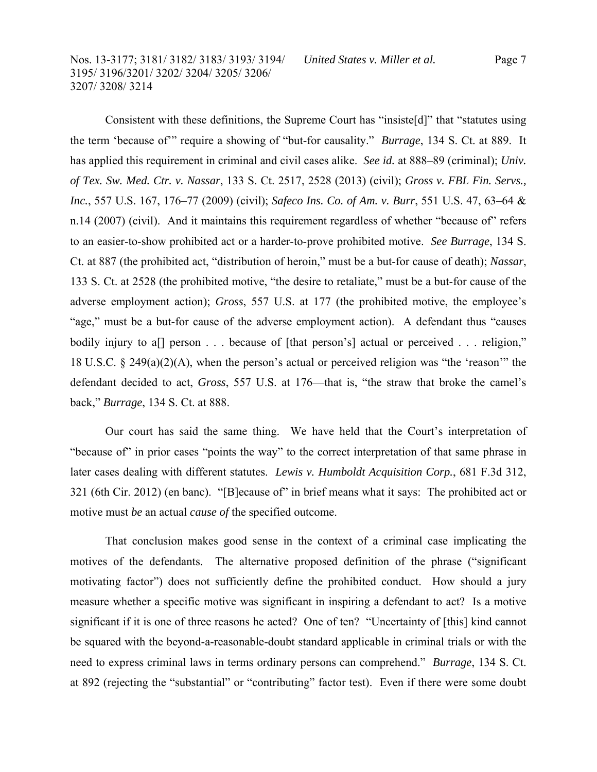Consistent with these definitions, the Supreme Court has "insiste[d]" that "statutes using the term 'because of'" require a showing of "but-for causality." *Burrage*, 134 S. Ct. at 889. It has applied this requirement in criminal and civil cases alike. *See id.* at 888–89 (criminal); *Univ. of Tex. Sw. Med. Ctr. v. Nassar*, 133 S. Ct. 2517, 2528 (2013) (civil); *Gross v. FBL Fin. Servs., Inc.*, 557 U.S. 167, 176–77 (2009) (civil); *Safeco Ins. Co. of Am. v. Burr*, 551 U.S. 47, 63–64 & n.14 (2007) (civil). And it maintains this requirement regardless of whether "because of" refers to an easier-to-show prohibited act or a harder-to-prove prohibited motive. *See Burrage*, 134 S. Ct. at 887 (the prohibited act, "distribution of heroin," must be a but-for cause of death); *Nassar*, 133 S. Ct. at 2528 (the prohibited motive, "the desire to retaliate," must be a but-for cause of the adverse employment action); *Gross*, 557 U.S. at 177 (the prohibited motive, the employee's "age," must be a but-for cause of the adverse employment action). A defendant thus "causes bodily injury to a<sup>[]</sup> person . . . because of [that person's] actual or perceived . . . religion," 18 U.S.C. § 249(a)(2)(A), when the person's actual or perceived religion was "the 'reason'" the defendant decided to act, *Gross*, 557 U.S. at 176—that is, "the straw that broke the camel's back," *Burrage*, 134 S. Ct. at 888.

Our court has said the same thing. We have held that the Court's interpretation of "because of" in prior cases "points the way" to the correct interpretation of that same phrase in later cases dealing with different statutes. *Lewis v. Humboldt Acquisition Corp.*, 681 F.3d 312, 321 (6th Cir. 2012) (en banc). "[B]ecause of" in brief means what it says: The prohibited act or motive must *be* an actual *cause of* the specified outcome.

 That conclusion makes good sense in the context of a criminal case implicating the motives of the defendants. The alternative proposed definition of the phrase ("significant motivating factor") does not sufficiently define the prohibited conduct. How should a jury measure whether a specific motive was significant in inspiring a defendant to act? Is a motive significant if it is one of three reasons he acted? One of ten? "Uncertainty of [this] kind cannot be squared with the beyond-a-reasonable-doubt standard applicable in criminal trials or with the need to express criminal laws in terms ordinary persons can comprehend." *Burrage*, 134 S. Ct. at 892 (rejecting the "substantial" or "contributing" factor test). Even if there were some doubt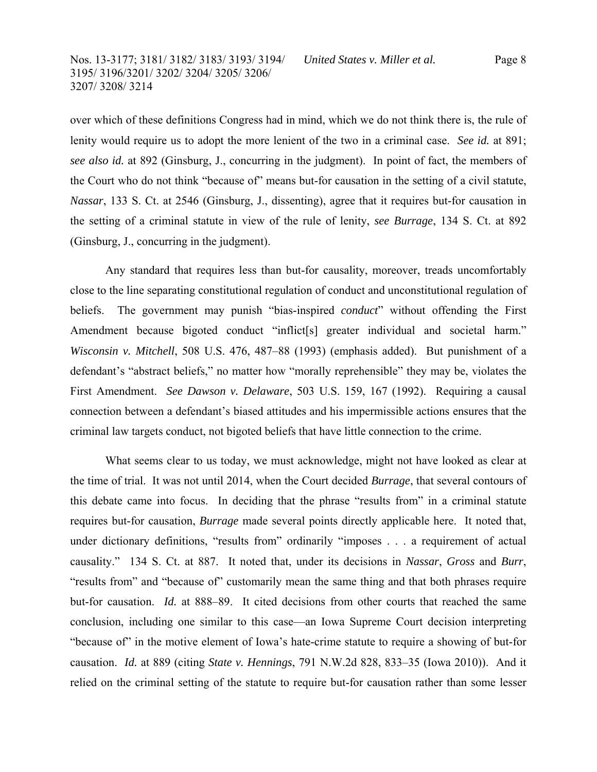over which of these definitions Congress had in mind, which we do not think there is, the rule of lenity would require us to adopt the more lenient of the two in a criminal case. *See id.* at 891;

*see also id.* at 892 (Ginsburg, J., concurring in the judgment). In point of fact, the members of the Court who do not think "because of" means but-for causation in the setting of a civil statute, *Nassar*, 133 S. Ct. at 2546 (Ginsburg, J., dissenting), agree that it requires but-for causation in the setting of a criminal statute in view of the rule of lenity, *see Burrage*, 134 S. Ct. at 892 (Ginsburg, J., concurring in the judgment).

Any standard that requires less than but-for causality, moreover, treads uncomfortably close to the line separating constitutional regulation of conduct and unconstitutional regulation of beliefs. The government may punish "bias-inspired *conduct*" without offending the First Amendment because bigoted conduct "inflict[s] greater individual and societal harm." *Wisconsin v. Mitchell*, 508 U.S. 476, 487–88 (1993) (emphasis added). But punishment of a defendant's "abstract beliefs," no matter how "morally reprehensible" they may be, violates the First Amendment. *See Dawson v. Delaware*, 503 U.S. 159, 167 (1992). Requiring a causal connection between a defendant's biased attitudes and his impermissible actions ensures that the criminal law targets conduct, not bigoted beliefs that have little connection to the crime.

What seems clear to us today, we must acknowledge, might not have looked as clear at the time of trial. It was not until 2014, when the Court decided *Burrage*, that several contours of this debate came into focus. In deciding that the phrase "results from" in a criminal statute requires but-for causation, *Burrage* made several points directly applicable here. It noted that, under dictionary definitions, "results from" ordinarily "imposes . . . a requirement of actual causality." 134 S. Ct. at 887. It noted that, under its decisions in *Nassar*, *Gross* and *Burr*, "results from" and "because of" customarily mean the same thing and that both phrases require but-for causation. *Id.* at 888–89. It cited decisions from other courts that reached the same conclusion, including one similar to this case—an Iowa Supreme Court decision interpreting "because of" in the motive element of Iowa's hate-crime statute to require a showing of but-for causation. *Id.* at 889 (citing *State v. Hennings*, 791 N.W.2d 828, 833–35 (Iowa 2010)). And it relied on the criminal setting of the statute to require but-for causation rather than some lesser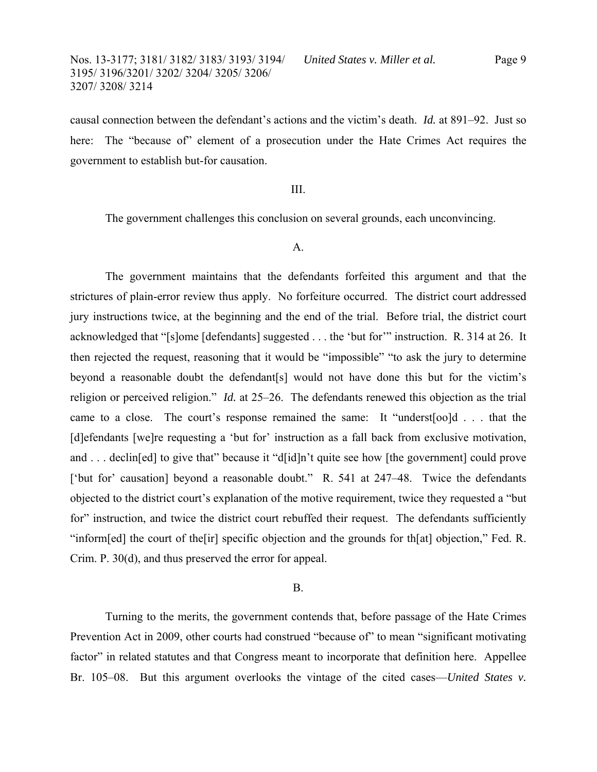causal connection between the defendant's actions and the victim's death. *Id.* at 891–92. Just so here: The "because of" element of a prosecution under the Hate Crimes Act requires the government to establish but-for causation.

## III.

The government challenges this conclusion on several grounds, each unconvincing.

#### A.

The government maintains that the defendants forfeited this argument and that the strictures of plain-error review thus apply. No forfeiture occurred. The district court addressed jury instructions twice, at the beginning and the end of the trial. Before trial, the district court acknowledged that "[s]ome [defendants] suggested . . . the 'but for'" instruction. R. 314 at 26. It then rejected the request, reasoning that it would be "impossible" "to ask the jury to determine beyond a reasonable doubt the defendant[s] would not have done this but for the victim's religion or perceived religion." *Id.* at 25–26. The defendants renewed this objection as the trial came to a close. The court's response remained the same: It "underst[oo]d . . . that the [d]efendants [we]re requesting a 'but for' instruction as a fall back from exclusive motivation, and . . . declin[ed] to give that" because it "d[id]n't quite see how [the government] could prove ['but for' causation] beyond a reasonable doubt." R. 541 at 247–48. Twice the defendants objected to the district court's explanation of the motive requirement, twice they requested a "but for" instruction, and twice the district court rebuffed their request. The defendants sufficiently "inform[ed] the court of the[ir] specific objection and the grounds for th[at] objection," Fed. R. Crim. P. 30(d), and thus preserved the error for appeal.

#### B.

 Turning to the merits, the government contends that, before passage of the Hate Crimes Prevention Act in 2009, other courts had construed "because of" to mean "significant motivating factor" in related statutes and that Congress meant to incorporate that definition here. Appellee Br. 105–08. But this argument overlooks the vintage of the cited cases—*United States v.*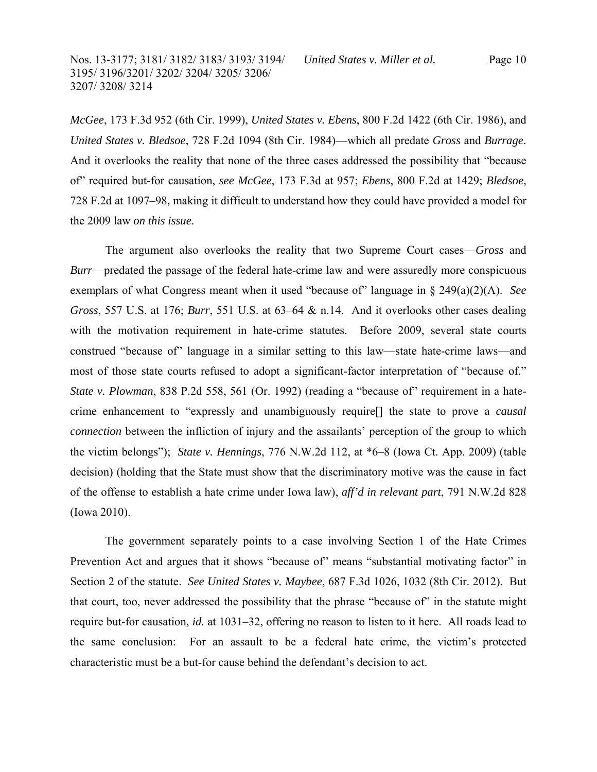*McGee*, 173 F.3d 952 (6th Cir. 1999), *United States v. Ebens*, 800 F.2d 1422 (6th Cir. 1986), and *United States v. Bledsoe*, 728 F.2d 1094 (8th Cir. 1984)—which all predate *Gross* and *Burrage.*  And it overlooks the reality that none of the three cases addressed the possibility that "because of" required but-for causation, *see McGee*, 173 F.3d at 957; *Ebens*, 800 F.2d at 1429; *Bledsoe*, 728 F.2d at 1097–98, making it difficult to understand how they could have provided a model for the 2009 law *on this issue*.

The argument also overlooks the reality that two Supreme Court cases—*Gross* and *Burr*—predated the passage of the federal hate-crime law and were assuredly more conspicuous exemplars of what Congress meant when it used "because of" language in § 249(a)(2)(A). *See Gross*, 557 U.S. at 176; *Burr*, 551 U.S. at 63–64 & n.14. And it overlooks other cases dealing with the motivation requirement in hate-crime statutes. Before 2009, several state courts construed "because of" language in a similar setting to this law—state hate-crime laws—and most of those state courts refused to adopt a significant-factor interpretation of "because of." *State v. Plowman*, 838 P.2d 558, 561 (Or. 1992) (reading a "because of" requirement in a hatecrime enhancement to "expressly and unambiguously require[] the state to prove a *causal connection* between the infliction of injury and the assailants' perception of the group to which the victim belongs"); *State v. Hennings*, 776 N.W.2d 112, at \*6–8 (Iowa Ct. App. 2009) (table decision) (holding that the State must show that the discriminatory motive was the cause in fact of the offense to establish a hate crime under Iowa law), *aff'd in relevant part*, 791 N.W.2d 828 (Iowa 2010).

The government separately points to a case involving Section 1 of the Hate Crimes Prevention Act and argues that it shows "because of" means "substantial motivating factor" in Section 2 of the statute. *See United States v. Maybee*, 687 F.3d 1026, 1032 (8th Cir. 2012). But that court, too, never addressed the possibility that the phrase "because of" in the statute might require but-for causation, *id.* at 1031–32, offering no reason to listen to it here. All roads lead to the same conclusion: For an assault to be a federal hate crime, the victim's protected characteristic must be a but-for cause behind the defendant's decision to act.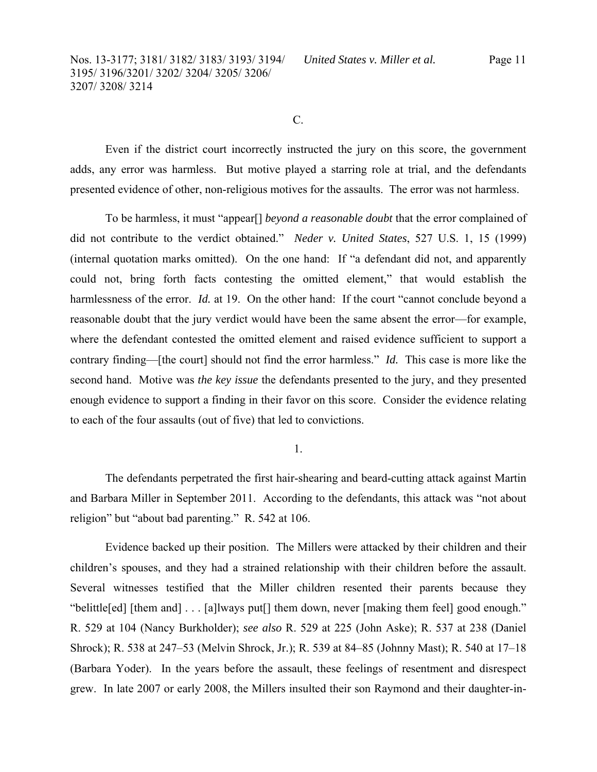C.

 Even if the district court incorrectly instructed the jury on this score, the government adds, any error was harmless. But motive played a starring role at trial, and the defendants presented evidence of other, non-religious motives for the assaults. The error was not harmless.

 To be harmless, it must "appear[] *beyond a reasonable doubt* that the error complained of did not contribute to the verdict obtained." *Neder v. United States*, 527 U.S. 1, 15 (1999) (internal quotation marks omitted). On the one hand: If "a defendant did not, and apparently could not, bring forth facts contesting the omitted element," that would establish the harmlessness of the error. *Id.* at 19. On the other hand: If the court "cannot conclude beyond a reasonable doubt that the jury verdict would have been the same absent the error—for example, where the defendant contested the omitted element and raised evidence sufficient to support a contrary finding—[the court] should not find the error harmless." *Id.* This case is more like the second hand. Motive was *the key issue* the defendants presented to the jury, and they presented enough evidence to support a finding in their favor on this score. Consider the evidence relating to each of the four assaults (out of five) that led to convictions.

1.

The defendants perpetrated the first hair-shearing and beard-cutting attack against Martin and Barbara Miller in September 2011. According to the defendants, this attack was "not about religion" but "about bad parenting." R. 542 at 106.

Evidence backed up their position. The Millers were attacked by their children and their children's spouses, and they had a strained relationship with their children before the assault. Several witnesses testified that the Miller children resented their parents because they "belittle[ed] [them and] . . . [a]lways put[] them down, never [making them feel] good enough." R. 529 at 104 (Nancy Burkholder); *see also* R. 529 at 225 (John Aske); R. 537 at 238 (Daniel Shrock); R. 538 at 247–53 (Melvin Shrock, Jr.); R. 539 at 84–85 (Johnny Mast); R. 540 at 17–18 (Barbara Yoder). In the years before the assault, these feelings of resentment and disrespect grew. In late 2007 or early 2008, the Millers insulted their son Raymond and their daughter-in-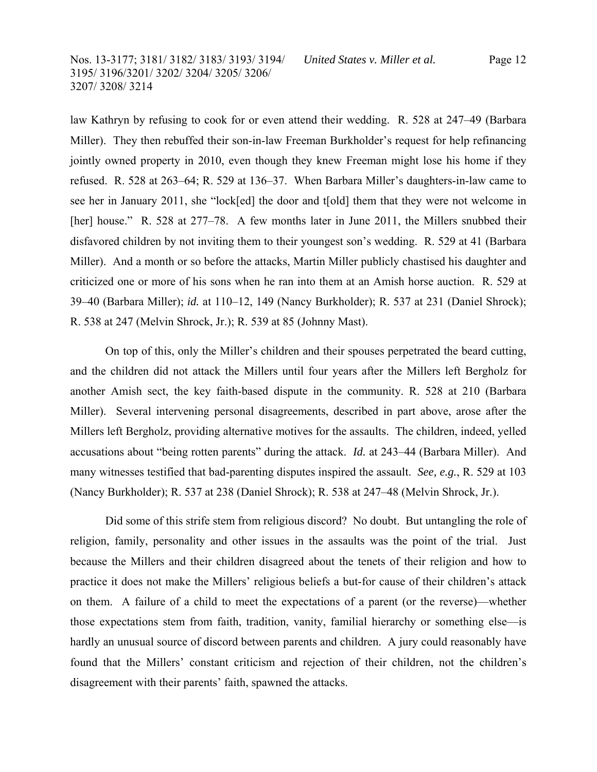law Kathryn by refusing to cook for or even attend their wedding. R. 528 at 247–49 (Barbara Miller). They then rebuffed their son-in-law Freeman Burkholder's request for help refinancing jointly owned property in 2010, even though they knew Freeman might lose his home if they refused. R. 528 at 263–64; R. 529 at 136–37. When Barbara Miller's daughters-in-law came to see her in January 2011, she "lock[ed] the door and t[old] them that they were not welcome in [her] house." R. 528 at 277–78. A few months later in June 2011, the Millers snubbed their disfavored children by not inviting them to their youngest son's wedding. R. 529 at 41 (Barbara Miller). And a month or so before the attacks, Martin Miller publicly chastised his daughter and criticized one or more of his sons when he ran into them at an Amish horse auction. R. 529 at 39–40 (Barbara Miller); *id.* at 110–12, 149 (Nancy Burkholder); R. 537 at 231 (Daniel Shrock); R. 538 at 247 (Melvin Shrock, Jr.); R. 539 at 85 (Johnny Mast).

On top of this, only the Miller's children and their spouses perpetrated the beard cutting, and the children did not attack the Millers until four years after the Millers left Bergholz for another Amish sect, the key faith-based dispute in the community. R. 528 at 210 (Barbara Miller). Several intervening personal disagreements, described in part above, arose after the Millers left Bergholz, providing alternative motives for the assaults. The children, indeed, yelled accusations about "being rotten parents" during the attack. *Id.* at 243–44 (Barbara Miller). And many witnesses testified that bad-parenting disputes inspired the assault. *See, e.g.*, R. 529 at 103 (Nancy Burkholder); R. 537 at 238 (Daniel Shrock); R. 538 at 247–48 (Melvin Shrock, Jr.).

Did some of this strife stem from religious discord? No doubt. But untangling the role of religion, family, personality and other issues in the assaults was the point of the trial. Just because the Millers and their children disagreed about the tenets of their religion and how to practice it does not make the Millers' religious beliefs a but-for cause of their children's attack on them. A failure of a child to meet the expectations of a parent (or the reverse)—whether those expectations stem from faith, tradition, vanity, familial hierarchy or something else—is hardly an unusual source of discord between parents and children. A jury could reasonably have found that the Millers' constant criticism and rejection of their children, not the children's disagreement with their parents' faith, spawned the attacks.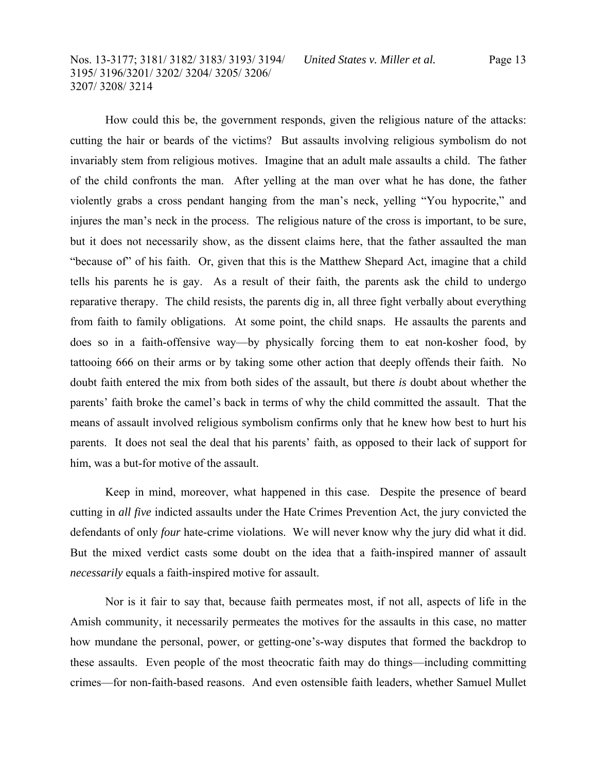How could this be, the government responds, given the religious nature of the attacks: cutting the hair or beards of the victims? But assaults involving religious symbolism do not invariably stem from religious motives. Imagine that an adult male assaults a child. The father of the child confronts the man. After yelling at the man over what he has done, the father violently grabs a cross pendant hanging from the man's neck, yelling "You hypocrite," and injures the man's neck in the process. The religious nature of the cross is important, to be sure, but it does not necessarily show, as the dissent claims here, that the father assaulted the man "because of" of his faith. Or, given that this is the Matthew Shepard Act, imagine that a child tells his parents he is gay. As a result of their faith, the parents ask the child to undergo reparative therapy. The child resists, the parents dig in, all three fight verbally about everything from faith to family obligations. At some point, the child snaps. He assaults the parents and does so in a faith-offensive way—by physically forcing them to eat non-kosher food, by tattooing 666 on their arms or by taking some other action that deeply offends their faith. No doubt faith entered the mix from both sides of the assault, but there *is* doubt about whether the parents' faith broke the camel's back in terms of why the child committed the assault. That the means of assault involved religious symbolism confirms only that he knew how best to hurt his parents. It does not seal the deal that his parents' faith, as opposed to their lack of support for him, was a but-for motive of the assault.

Keep in mind, moreover, what happened in this case. Despite the presence of beard cutting in *all five* indicted assaults under the Hate Crimes Prevention Act, the jury convicted the defendants of only *four* hate-crime violations. We will never know why the jury did what it did. But the mixed verdict casts some doubt on the idea that a faith-inspired manner of assault *necessarily* equals a faith-inspired motive for assault.

Nor is it fair to say that, because faith permeates most, if not all, aspects of life in the Amish community, it necessarily permeates the motives for the assaults in this case, no matter how mundane the personal, power, or getting-one's-way disputes that formed the backdrop to these assaults. Even people of the most theocratic faith may do things—including committing crimes—for non-faith-based reasons. And even ostensible faith leaders, whether Samuel Mullet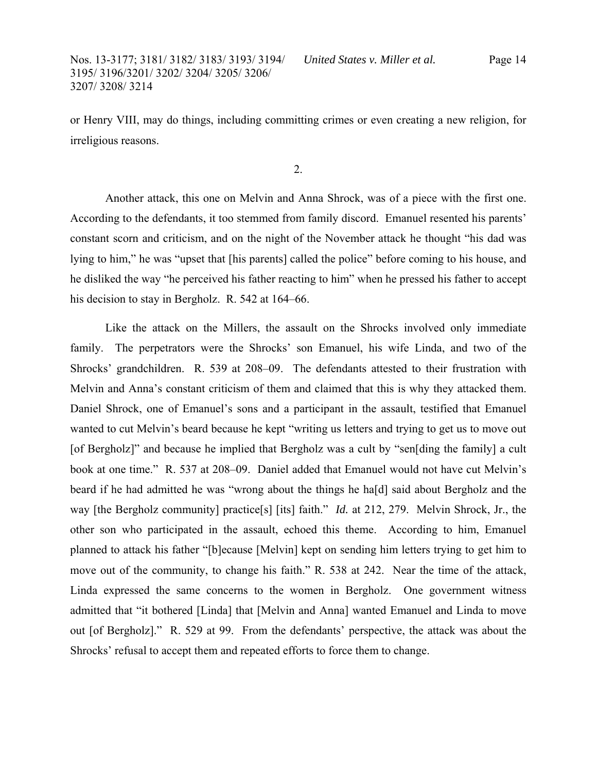or Henry VIII, may do things, including committing crimes or even creating a new religion, for irreligious reasons.

2.

 Another attack, this one on Melvin and Anna Shrock, was of a piece with the first one. According to the defendants, it too stemmed from family discord. Emanuel resented his parents' constant scorn and criticism, and on the night of the November attack he thought "his dad was lying to him," he was "upset that [his parents] called the police" before coming to his house, and he disliked the way "he perceived his father reacting to him" when he pressed his father to accept his decision to stay in Bergholz. R. 542 at 164–66.

Like the attack on the Millers, the assault on the Shrocks involved only immediate family. The perpetrators were the Shrocks' son Emanuel, his wife Linda, and two of the Shrocks' grandchildren. R. 539 at 208–09. The defendants attested to their frustration with Melvin and Anna's constant criticism of them and claimed that this is why they attacked them. Daniel Shrock, one of Emanuel's sons and a participant in the assault, testified that Emanuel wanted to cut Melvin's beard because he kept "writing us letters and trying to get us to move out [of Bergholz]" and because he implied that Bergholz was a cult by "sen[ding the family] a cult book at one time." R. 537 at 208–09. Daniel added that Emanuel would not have cut Melvin's beard if he had admitted he was "wrong about the things he ha[d] said about Bergholz and the way [the Bergholz community] practice[s] [its] faith." *Id.* at 212, 279. Melvin Shrock, Jr., the other son who participated in the assault, echoed this theme. According to him, Emanuel planned to attack his father "[b]ecause [Melvin] kept on sending him letters trying to get him to move out of the community, to change his faith." R. 538 at 242. Near the time of the attack, Linda expressed the same concerns to the women in Bergholz. One government witness admitted that "it bothered [Linda] that [Melvin and Anna] wanted Emanuel and Linda to move out [of Bergholz]." R. 529 at 99. From the defendants' perspective, the attack was about the Shrocks' refusal to accept them and repeated efforts to force them to change.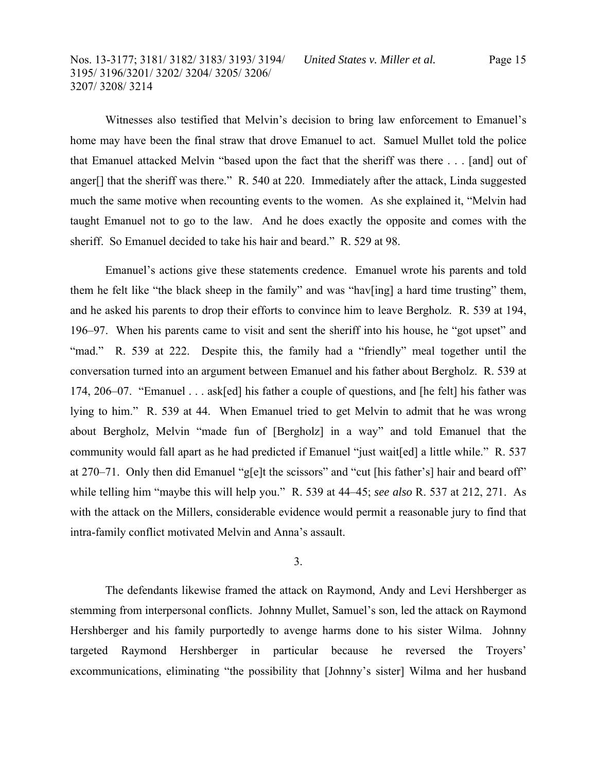Witnesses also testified that Melvin's decision to bring law enforcement to Emanuel's home may have been the final straw that drove Emanuel to act. Samuel Mullet told the police that Emanuel attacked Melvin "based upon the fact that the sheriff was there . . . [and] out of anger[] that the sheriff was there." R. 540 at 220. Immediately after the attack, Linda suggested much the same motive when recounting events to the women. As she explained it, "Melvin had taught Emanuel not to go to the law. And he does exactly the opposite and comes with the sheriff. So Emanuel decided to take his hair and beard." R. 529 at 98.

Emanuel's actions give these statements credence. Emanuel wrote his parents and told them he felt like "the black sheep in the family" and was "hav[ing] a hard time trusting" them, and he asked his parents to drop their efforts to convince him to leave Bergholz. R. 539 at 194, 196–97. When his parents came to visit and sent the sheriff into his house, he "got upset" and "mad." R. 539 at 222. Despite this, the family had a "friendly" meal together until the conversation turned into an argument between Emanuel and his father about Bergholz. R. 539 at 174, 206–07. "Emanuel . . . ask[ed] his father a couple of questions, and [he felt] his father was lying to him." R. 539 at 44. When Emanuel tried to get Melvin to admit that he was wrong about Bergholz, Melvin "made fun of [Bergholz] in a way" and told Emanuel that the community would fall apart as he had predicted if Emanuel "just wait[ed] a little while."R. 537 at 270–71. Only then did Emanuel "g[e]t the scissors" and "cut [his father's] hair and beard off" while telling him "maybe this will help you." R. 539 at 44–45; *see also* R. 537 at 212, 271. As with the attack on the Millers, considerable evidence would permit a reasonable jury to find that intra-family conflict motivated Melvin and Anna's assault.

### 3.

 The defendants likewise framed the attack on Raymond, Andy and Levi Hershberger as stemming from interpersonal conflicts. Johnny Mullet, Samuel's son, led the attack on Raymond Hershberger and his family purportedly to avenge harms done to his sister Wilma. Johnny targeted Raymond Hershberger in particular because he reversed the Troyers' excommunications, eliminating "the possibility that [Johnny's sister] Wilma and her husband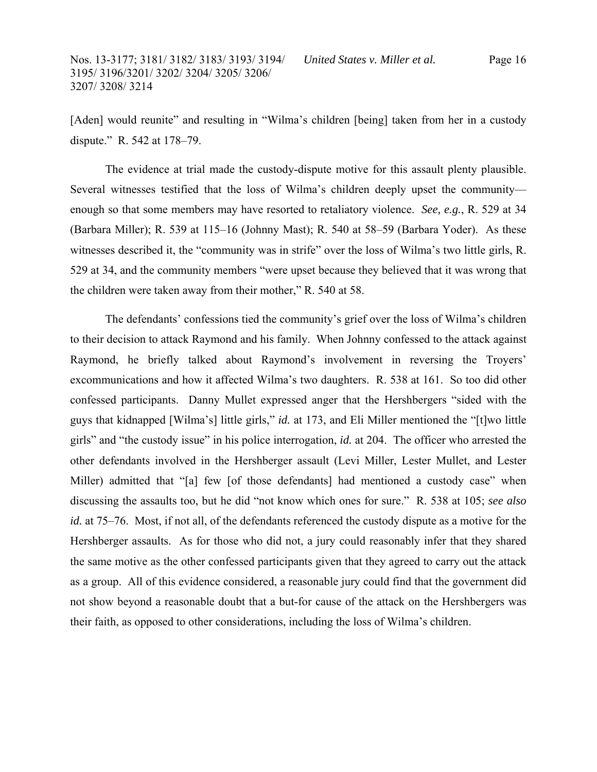[Aden] would reunite" and resulting in "Wilma's children [being] taken from her in a custody dispute." R. 542 at 178–79.

The evidence at trial made the custody-dispute motive for this assault plenty plausible. Several witnesses testified that the loss of Wilma's children deeply upset the community enough so that some members may have resorted to retaliatory violence. *See, e.g.*, R. 529 at 34 (Barbara Miller); R. 539 at 115–16 (Johnny Mast); R. 540 at 58–59 (Barbara Yoder). As these witnesses described it, the "community was in strife" over the loss of Wilma's two little girls, R. 529 at 34, and the community members "were upset because they believed that it was wrong that the children were taken away from their mother," R. 540 at 58.

The defendants' confessions tied the community's grief over the loss of Wilma's children to their decision to attack Raymond and his family.When Johnny confessed to the attack against Raymond, he briefly talked about Raymond's involvement in reversing the Troyers' excommunications and how it affected Wilma's two daughters. R. 538 at 161. So too did other confessed participants. Danny Mullet expressed anger that the Hershbergers "sided with the guys that kidnapped [Wilma's] little girls," *id.* at 173, and Eli Miller mentioned the "[t]wo little girls" and "the custody issue" in his police interrogation, *id.* at 204. The officer who arrested the other defendants involved in the Hershberger assault (Levi Miller, Lester Mullet, and Lester Miller) admitted that "[a] few [of those defendants] had mentioned a custody case" when discussing the assaults too, but he did "not know which ones for sure." R. 538 at 105; *see also id.* at 75–76. Most, if not all, of the defendants referenced the custody dispute as a motive for the Hershberger assaults. As for those who did not, a jury could reasonably infer that they shared the same motive as the other confessed participants given that they agreed to carry out the attack as a group. All of this evidence considered, a reasonable jury could find that the government did not show beyond a reasonable doubt that a but-for cause of the attack on the Hershbergers was their faith, as opposed to other considerations, including the loss of Wilma's children.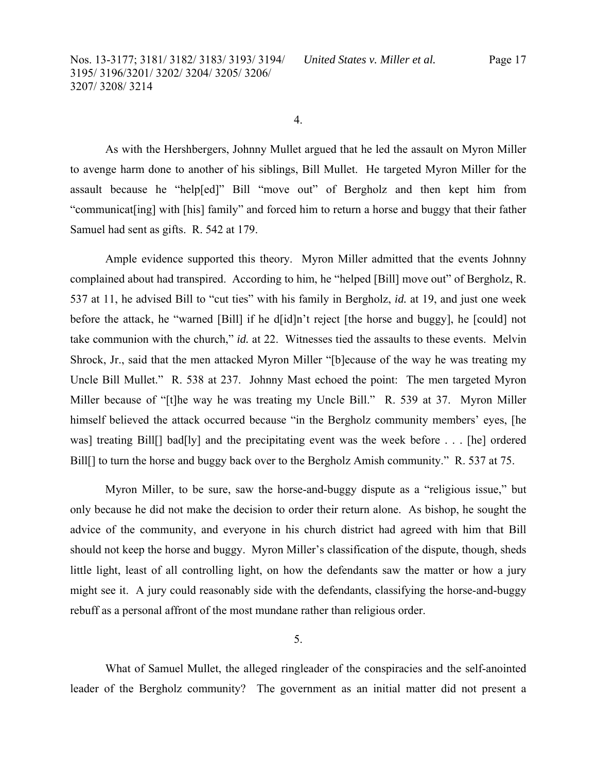4.

As with the Hershbergers, Johnny Mullet argued that he led the assault on Myron Miller to avenge harm done to another of his siblings, Bill Mullet.He targeted Myron Miller for the assault because he "help[ed]" Bill "move out" of Bergholz and then kept him from "communicat[ing] with [his] family" and forced him to return a horse and buggy that their father Samuel had sent as gifts. R. 542 at 179.

Ample evidence supported this theory. Myron Miller admitted that the events Johnny complained about had transpired. According to him, he "helped [Bill] move out" of Bergholz, R. 537 at 11, he advised Bill to "cut ties" with his family in Bergholz, *id.* at 19, and just one week before the attack, he "warned [Bill] if he d[id]n't reject [the horse and buggy], he [could] not take communion with the church," *id.* at 22. Witnesses tied the assaults to these events. Melvin Shrock, Jr., said that the men attacked Myron Miller "[b]ecause of the way he was treating my Uncle Bill Mullet." R. 538 at 237. Johnny Mast echoed the point: The men targeted Myron Miller because of "[t]he way he was treating my Uncle Bill." R. 539 at 37. Myron Miller himself believed the attack occurred because "in the Bergholz community members' eyes, [he was] treating Bill[] bad[ly] and the precipitating event was the week before . . . [he] ordered Bill[] to turn the horse and buggy back over to the Bergholz Amish community." R. 537 at 75.

Myron Miller, to be sure, saw the horse-and-buggy dispute as a "religious issue," but only because he did not make the decision to order their return alone. As bishop, he sought the advice of the community, and everyone in his church district had agreed with him that Bill should not keep the horse and buggy. Myron Miller's classification of the dispute, though, sheds little light, least of all controlling light, on how the defendants saw the matter or how a jury might see it. A jury could reasonably side with the defendants, classifying the horse-and-buggy rebuff as a personal affront of the most mundane rather than religious order.

5.

What of Samuel Mullet, the alleged ringleader of the conspiracies and the self-anointed leader of the Bergholz community? The government as an initial matter did not present a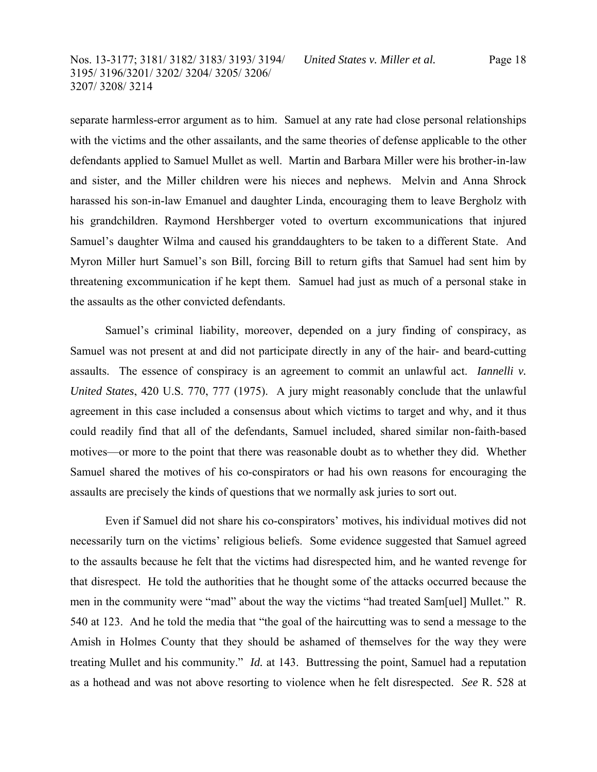separate harmless-error argument as to him. Samuel at any rate had close personal relationships with the victims and the other assailants, and the same theories of defense applicable to the other defendants applied to Samuel Mullet as well. Martin and Barbara Miller were his brother-in-law and sister, and the Miller children were his nieces and nephews. Melvin and Anna Shrock harassed his son-in-law Emanuel and daughter Linda, encouraging them to leave Bergholz with his grandchildren. Raymond Hershberger voted to overturn excommunications that injured Samuel's daughter Wilma and caused his granddaughters to be taken to a different State. And Myron Miller hurt Samuel's son Bill, forcing Bill to return gifts that Samuel had sent him by threatening excommunication if he kept them. Samuel had just as much of a personal stake in the assaults as the other convicted defendants.

 Samuel's criminal liability, moreover, depended on a jury finding of conspiracy, as Samuel was not present at and did not participate directly in any of the hair- and beard-cutting assaults. The essence of conspiracy is an agreement to commit an unlawful act. *Iannelli v. United States*, 420 U.S. 770, 777 (1975). A jury might reasonably conclude that the unlawful agreement in this case included a consensus about which victims to target and why, and it thus could readily find that all of the defendants, Samuel included, shared similar non-faith-based motives—or more to the point that there was reasonable doubt as to whether they did. Whether Samuel shared the motives of his co-conspirators or had his own reasons for encouraging the assaults are precisely the kinds of questions that we normally ask juries to sort out.

 Even if Samuel did not share his co-conspirators' motives, his individual motives did not necessarily turn on the victims' religious beliefs. Some evidence suggested that Samuel agreed to the assaults because he felt that the victims had disrespected him, and he wanted revenge for that disrespect. He told the authorities that he thought some of the attacks occurred because the men in the community were "mad" about the way the victims "had treated Sam[uel] Mullet." R. 540 at 123. And he told the media that "the goal of the haircutting was to send a message to the Amish in Holmes County that they should be ashamed of themselves for the way they were treating Mullet and his community." *Id.* at 143. Buttressing the point, Samuel had a reputation as a hothead and was not above resorting to violence when he felt disrespected. *See* R. 528 at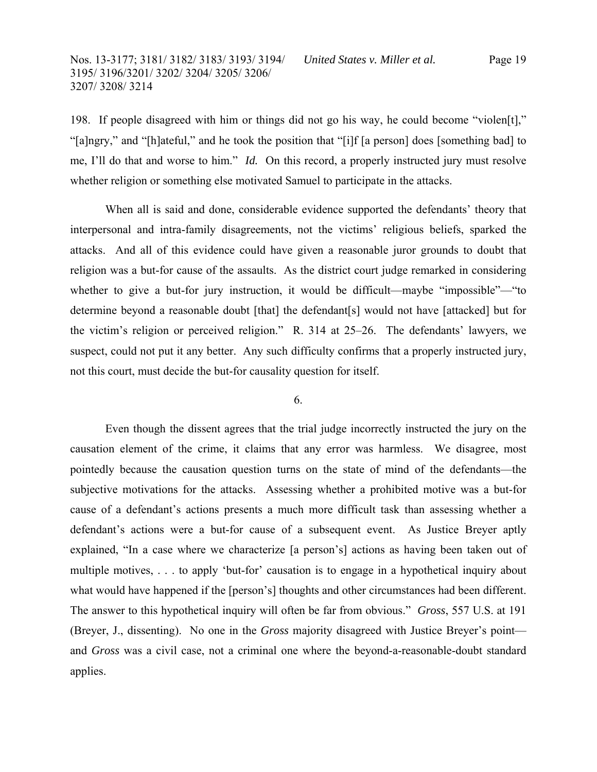198. If people disagreed with him or things did not go his way, he could become "violen[t]," "[a]ngry," and "[h]ateful," and he took the position that "[i]f [a person] does [something bad] to me, I'll do that and worse to him." *Id.* On this record, a properly instructed jury must resolve whether religion or something else motivated Samuel to participate in the attacks.

When all is said and done, considerable evidence supported the defendants' theory that interpersonal and intra-family disagreements, not the victims' religious beliefs, sparked the attacks. And all of this evidence could have given a reasonable juror grounds to doubt that religion was a but-for cause of the assaults. As the district court judge remarked in considering whether to give a but-for jury instruction, it would be difficult—maybe "impossible"—"to determine beyond a reasonable doubt [that] the defendant[s] would not have [attacked] but for the victim's religion or perceived religion." R. 314 at 25–26. The defendants' lawyers, we suspect, could not put it any better. Any such difficulty confirms that a properly instructed jury, not this court, must decide the but-for causality question for itself.

### 6.

 Even though the dissent agrees that the trial judge incorrectly instructed the jury on the causation element of the crime, it claims that any error was harmless. We disagree, most pointedly because the causation question turns on the state of mind of the defendants—the subjective motivations for the attacks. Assessing whether a prohibited motive was a but-for cause of a defendant's actions presents a much more difficult task than assessing whether a defendant's actions were a but-for cause of a subsequent event. As Justice Breyer aptly explained, "In a case where we characterize [a person's] actions as having been taken out of multiple motives, . . . to apply 'but-for' causation is to engage in a hypothetical inquiry about what would have happened if the [person's] thoughts and other circumstances had been different. The answer to this hypothetical inquiry will often be far from obvious." *Gross*, 557 U.S. at 191 (Breyer, J., dissenting). No one in the *Gross* majority disagreed with Justice Breyer's point and *Gross* was a civil case, not a criminal one where the beyond-a-reasonable-doubt standard applies.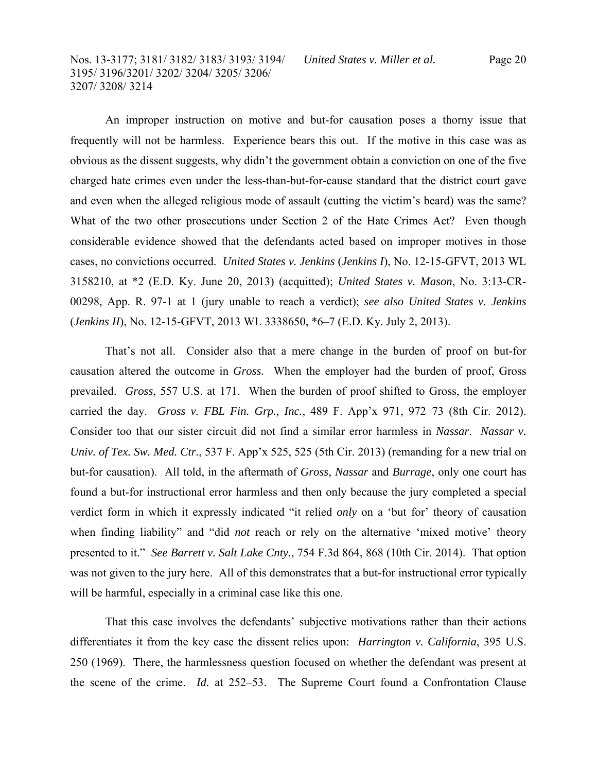An improper instruction on motive and but-for causation poses a thorny issue that frequently will not be harmless. Experience bears this out. If the motive in this case was as obvious as the dissent suggests, why didn't the government obtain a conviction on one of the five charged hate crimes even under the less-than-but-for-cause standard that the district court gave and even when the alleged religious mode of assault (cutting the victim's beard) was the same? What of the two other prosecutions under Section 2 of the Hate Crimes Act? Even though considerable evidence showed that the defendants acted based on improper motives in those cases, no convictions occurred. *United States v. Jenkins* (*Jenkins I*), No. 12-15-GFVT, 2013 WL 3158210, at \*2 (E.D. Ky. June 20, 2013) (acquitted); *United States v. Mason*, No. 3:13-CR-00298, App. R. 97-1 at 1 (jury unable to reach a verdict); *see also United States v. Jenkins*  (*Jenkins II*), No. 12-15-GFVT, 2013 WL 3338650, \*6–7 (E.D. Ky. July 2, 2013).

That's not all. Consider also that a mere change in the burden of proof on but-for causation altered the outcome in *Gross.* When the employer had the burden of proof, Gross prevailed. *Gross*, 557 U.S. at 171. When the burden of proof shifted to Gross, the employer carried the day. *Gross v. FBL Fin. Grp., Inc.*, 489 F. App'x 971, 972–73 (8th Cir. 2012). Consider too that our sister circuit did not find a similar error harmless in *Nassar*. *Nassar v. Univ. of Tex. Sw. Med. Ctr.*, 537 F. App'x 525, 525 (5th Cir. 2013) (remanding for a new trial on but-for causation). All told, in the aftermath of *Gross*, *Nassar* and *Burrage*, only one court has found a but-for instructional error harmless and then only because the jury completed a special verdict form in which it expressly indicated "it relied *only* on a 'but for' theory of causation when finding liability" and "did *not* reach or rely on the alternative 'mixed motive' theory presented to it." *See Barrett v. Salt Lake Cnty.*, 754 F.3d 864, 868 (10th Cir. 2014). That option was not given to the jury here. All of this demonstrates that a but-for instructional error typically will be harmful, especially in a criminal case like this one.

 That this case involves the defendants' subjective motivations rather than their actions differentiates it from the key case the dissent relies upon: *Harrington v. California*, 395 U.S. 250 (1969). There, the harmlessness question focused on whether the defendant was present at the scene of the crime. *Id.* at 252–53. The Supreme Court found a Confrontation Clause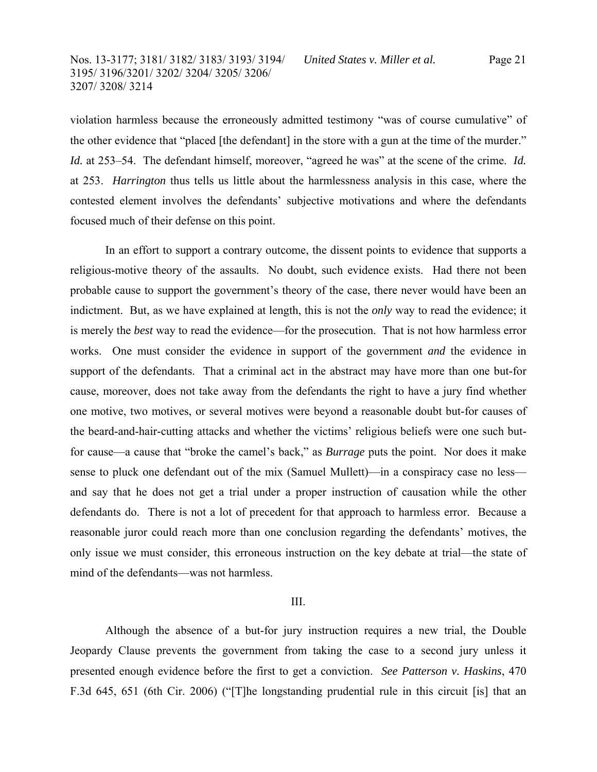violation harmless because the erroneously admitted testimony "was of course cumulative" of the other evidence that "placed [the defendant] in the store with a gun at the time of the murder." *Id.* at 253–54. The defendant himself, moreover, "agreed he was" at the scene of the crime. *Id.* at 253. *Harrington* thus tells us little about the harmlessness analysis in this case, where the contested element involves the defendants' subjective motivations and where the defendants focused much of their defense on this point.

 In an effort to support a contrary outcome, the dissent points to evidence that supports a religious-motive theory of the assaults. No doubt, such evidence exists. Had there not been probable cause to support the government's theory of the case, there never would have been an indictment. But, as we have explained at length, this is not the *only* way to read the evidence; it is merely the *best* way to read the evidence—for the prosecution. That is not how harmless error works. One must consider the evidence in support of the government *and* the evidence in support of the defendants. That a criminal act in the abstract may have more than one but-for cause, moreover, does not take away from the defendants the right to have a jury find whether one motive, two motives, or several motives were beyond a reasonable doubt but-for causes of the beard-and-hair-cutting attacks and whether the victims' religious beliefs were one such butfor cause—a cause that "broke the camel's back," as *Burrage* puts the point. Nor does it make sense to pluck one defendant out of the mix (Samuel Mullett)—in a conspiracy case no less and say that he does not get a trial under a proper instruction of causation while the other defendants do. There is not a lot of precedent for that approach to harmless error. Because a reasonable juror could reach more than one conclusion regarding the defendants' motives, the only issue we must consider, this erroneous instruction on the key debate at trial—the state of mind of the defendants—was not harmless.

### III.

 Although the absence of a but-for jury instruction requires a new trial, the Double Jeopardy Clause prevents the government from taking the case to a second jury unless it presented enough evidence before the first to get a conviction. *See Patterson v. Haskins*, 470 F.3d 645, 651 (6th Cir. 2006) ("[T]he longstanding prudential rule in this circuit [is] that an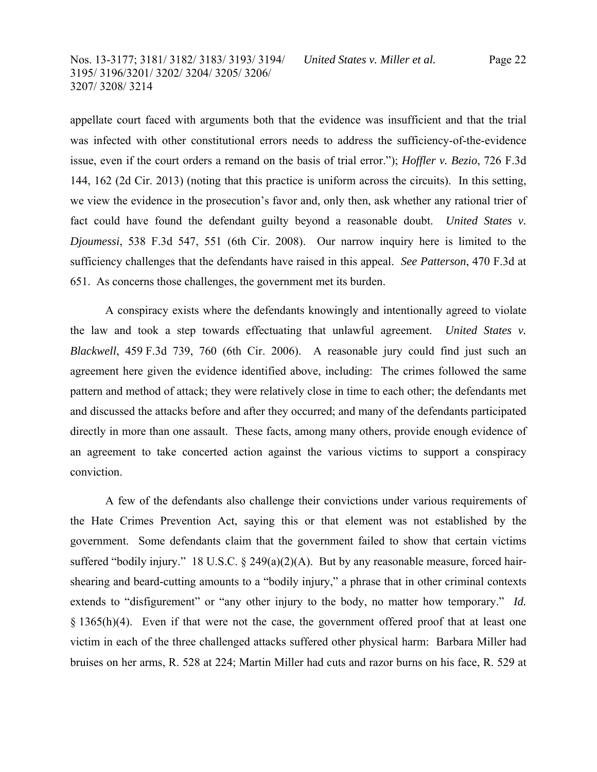appellate court faced with arguments both that the evidence was insufficient and that the trial was infected with other constitutional errors needs to address the sufficiency-of-the-evidence issue, even if the court orders a remand on the basis of trial error."); *Hoffler v. Bezio*, 726 F.3d 144, 162 (2d Cir. 2013) (noting that this practice is uniform across the circuits). In this setting, we view the evidence in the prosecution's favor and, only then, ask whether any rational trier of fact could have found the defendant guilty beyond a reasonable doubt. *United States v. Djoumessi*, 538 F.3d 547, 551 (6th Cir. 2008). Our narrow inquiry here is limited to the sufficiency challenges that the defendants have raised in this appeal. *See Patterson*, 470 F.3d at 651. As concerns those challenges, the government met its burden.

A conspiracy exists where the defendants knowingly and intentionally agreed to violate the law and took a step towards effectuating that unlawful agreement. *United States v. Blackwell*, 459 F.3d 739, 760 (6th Cir. 2006). A reasonable jury could find just such an agreement here given the evidence identified above, including: The crimes followed the same pattern and method of attack; they were relatively close in time to each other; the defendants met and discussed the attacks before and after they occurred; and many of the defendants participated directly in more than one assault. These facts, among many others, provide enough evidence of an agreement to take concerted action against the various victims to support a conspiracy conviction.

A few of the defendants also challenge their convictions under various requirements of the Hate Crimes Prevention Act, saying this or that element was not established by the government. Some defendants claim that the government failed to show that certain victims suffered "bodily injury." 18 U.S.C. § 249(a)(2)(A). But by any reasonable measure, forced hairshearing and beard-cutting amounts to a "bodily injury," a phrase that in other criminal contexts extends to "disfigurement" or "any other injury to the body, no matter how temporary." *Id.* § 1365(h)(4). Even if that were not the case, the government offered proof that at least one victim in each of the three challenged attacks suffered other physical harm: Barbara Miller had bruises on her arms, R. 528 at 224; Martin Miller had cuts and razor burns on his face, R. 529 at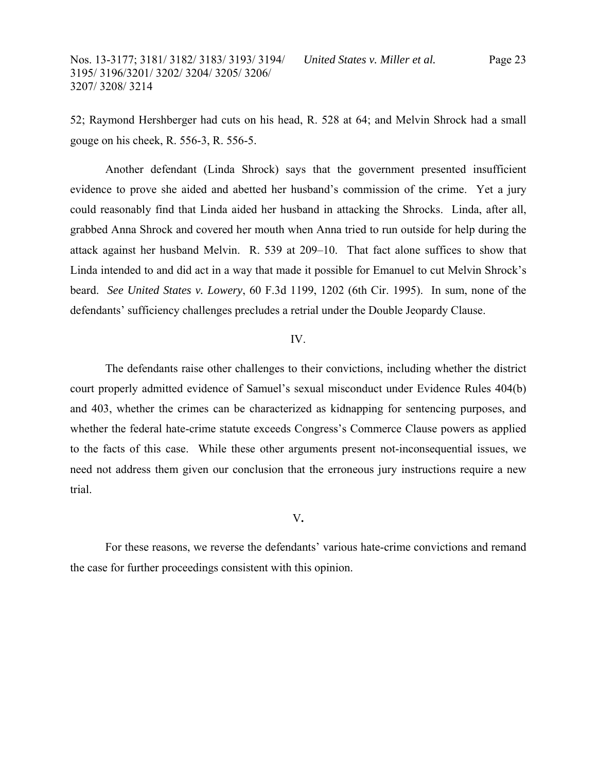52; Raymond Hershberger had cuts on his head, R. 528 at 64; and Melvin Shrock had a small gouge on his cheek, R. 556-3, R. 556-5.

Another defendant (Linda Shrock) says that the government presented insufficient evidence to prove she aided and abetted her husband's commission of the crime. Yet a jury could reasonably find that Linda aided her husband in attacking the Shrocks. Linda, after all, grabbed Anna Shrock and covered her mouth when Anna tried to run outside for help during the attack against her husband Melvin. R. 539 at 209–10. That fact alone suffices to show that Linda intended to and did act in a way that made it possible for Emanuel to cut Melvin Shrock's beard. *See United States v. Lowery*, 60 F.3d 1199, 1202 (6th Cir. 1995). In sum, none of the defendants' sufficiency challenges precludes a retrial under the Double Jeopardy Clause.

## IV.

 The defendants raise other challenges to their convictions, including whether the district court properly admitted evidence of Samuel's sexual misconduct under Evidence Rules 404(b) and 403, whether the crimes can be characterized as kidnapping for sentencing purposes, and whether the federal hate-crime statute exceeds Congress's Commerce Clause powers as applied to the facts of this case. While these other arguments present not-inconsequential issues, we need not address them given our conclusion that the erroneous jury instructions require a new trial.

V**.**

 For these reasons, we reverse the defendants' various hate-crime convictions and remand the case for further proceedings consistent with this opinion.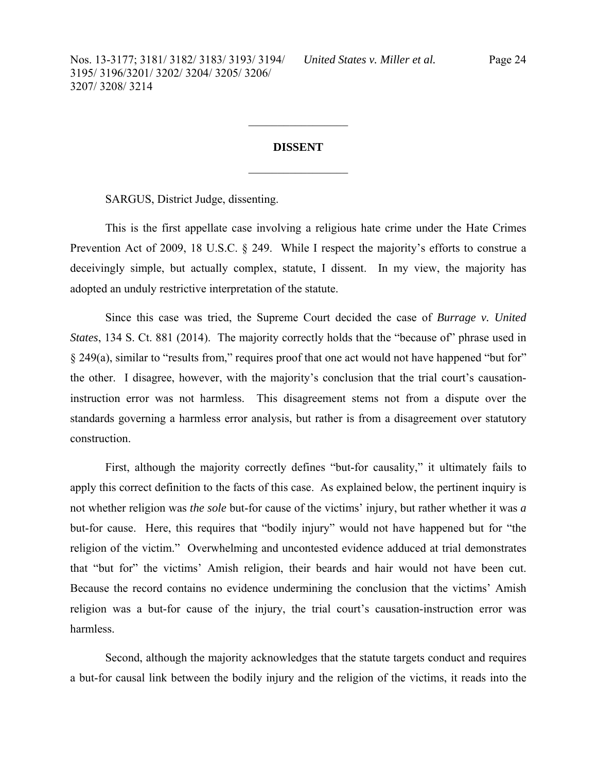# **DISSENT**

 $\frac{1}{2}$ 

 $\frac{1}{2}$ 

SARGUS, District Judge, dissenting.

This is the first appellate case involving a religious hate crime under the Hate Crimes Prevention Act of 2009, 18 U.S.C. § 249. While I respect the majority's efforts to construe a deceivingly simple, but actually complex, statute, I dissent. In my view, the majority has adopted an unduly restrictive interpretation of the statute.

Since this case was tried, the Supreme Court decided the case of *Burrage v. United States*, 134 S. Ct. 881 (2014). The majority correctly holds that the "because of" phrase used in § 249(a), similar to "results from," requires proof that one act would not have happened "but for" the other. I disagree, however, with the majority's conclusion that the trial court's causationinstruction error was not harmless. This disagreement stems not from a dispute over the standards governing a harmless error analysis, but rather is from a disagreement over statutory construction.

First, although the majority correctly defines "but-for causality," it ultimately fails to apply this correct definition to the facts of this case. As explained below, the pertinent inquiry is not whether religion was *the sole* but-for cause of the victims' injury, but rather whether it was *a*  but-for cause. Here, this requires that "bodily injury" would not have happened but for "the religion of the victim." Overwhelming and uncontested evidence adduced at trial demonstrates that "but for" the victims' Amish religion, their beards and hair would not have been cut. Because the record contains no evidence undermining the conclusion that the victims' Amish religion was a but-for cause of the injury, the trial court's causation-instruction error was harmless.

Second, although the majority acknowledges that the statute targets conduct and requires a but-for causal link between the bodily injury and the religion of the victims, it reads into the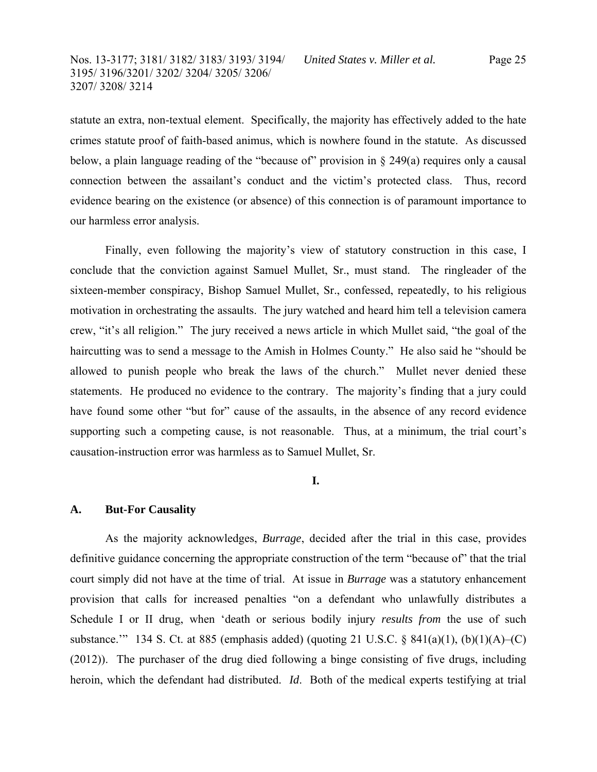statute an extra, non-textual element. Specifically, the majority has effectively added to the hate crimes statute proof of faith-based animus, which is nowhere found in the statute. As discussed below, a plain language reading of the "because of" provision in § 249(a) requires only a causal connection between the assailant's conduct and the victim's protected class. Thus, record evidence bearing on the existence (or absence) of this connection is of paramount importance to our harmless error analysis.

Finally, even following the majority's view of statutory construction in this case, I conclude that the conviction against Samuel Mullet, Sr., must stand. The ringleader of the sixteen-member conspiracy, Bishop Samuel Mullet, Sr., confessed, repeatedly, to his religious motivation in orchestrating the assaults. The jury watched and heard him tell a television camera crew, "it's all religion." The jury received a news article in which Mullet said, "the goal of the haircutting was to send a message to the Amish in Holmes County." He also said he "should be allowed to punish people who break the laws of the church." Mullet never denied these statements. He produced no evidence to the contrary. The majority's finding that a jury could have found some other "but for" cause of the assaults, in the absence of any record evidence supporting such a competing cause, is not reasonable. Thus, at a minimum, the trial court's causation-instruction error was harmless as to Samuel Mullet, Sr.

# **I.**

## **A. But-For Causality**

As the majority acknowledges, *Burrage*, decided after the trial in this case, provides definitive guidance concerning the appropriate construction of the term "because of" that the trial court simply did not have at the time of trial. At issue in *Burrage* was a statutory enhancement provision that calls for increased penalties "on a defendant who unlawfully distributes a Schedule I or II drug, when 'death or serious bodily injury *results from* the use of such substance.'" 134 S. Ct. at 885 (emphasis added) (quoting 21 U.S.C.  $\frac{841(a)(1)}{b)(1)(A)}$  (C) (2012)). The purchaser of the drug died following a binge consisting of five drugs, including heroin, which the defendant had distributed. *Id*. Both of the medical experts testifying at trial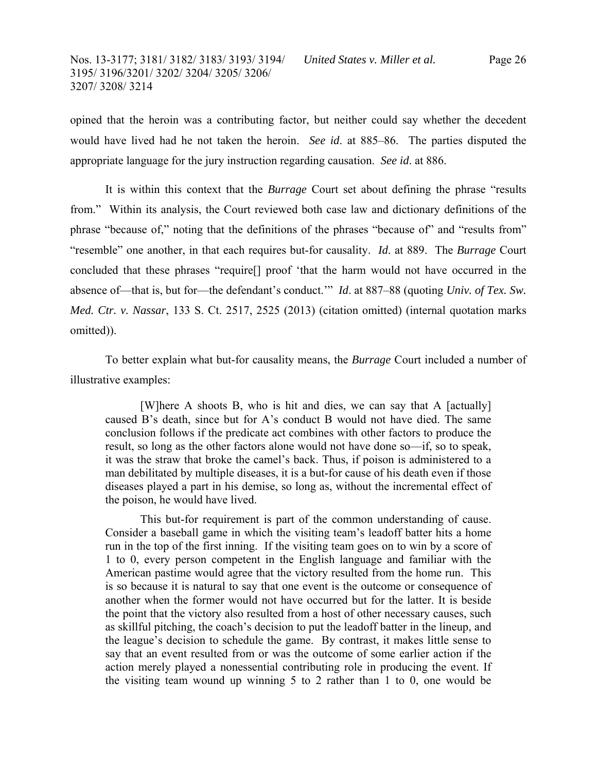opined that the heroin was a contributing factor, but neither could say whether the decedent would have lived had he not taken the heroin. *See id*. at 885–86. The parties disputed the appropriate language for the jury instruction regarding causation. *See id*. at 886.

It is within this context that the *Burrage* Court set about defining the phrase "results from." Within its analysis, the Court reviewed both case law and dictionary definitions of the phrase "because of," noting that the definitions of the phrases "because of" and "results from" "resemble" one another, in that each requires but-for causality. *Id*. at 889. The *Burrage* Court concluded that these phrases "require[] proof 'that the harm would not have occurred in the absence of—that is, but for—the defendant's conduct.'" *Id*. at 887–88 (quoting *Univ. of Tex. Sw. Med. Ctr. v. Nassar*, 133 S. Ct. 2517, 2525 (2013) (citation omitted) (internal quotation marks omitted)).

To better explain what but-for causality means, the *Burrage* Court included a number of illustrative examples:

[W]here A shoots B, who is hit and dies, we can say that A [actually] caused B's death, since but for A's conduct B would not have died. The same conclusion follows if the predicate act combines with other factors to produce the result, so long as the other factors alone would not have done so—if, so to speak, it was the straw that broke the camel's back. Thus, if poison is administered to a man debilitated by multiple diseases, it is a but-for cause of his death even if those diseases played a part in his demise, so long as, without the incremental effect of the poison, he would have lived.

This but-for requirement is part of the common understanding of cause. Consider a baseball game in which the visiting team's leadoff batter hits a home run in the top of the first inning. If the visiting team goes on to win by a score of 1 to 0, every person competent in the English language and familiar with the American pastime would agree that the victory resulted from the home run. This is so because it is natural to say that one event is the outcome or consequence of another when the former would not have occurred but for the latter. It is beside the point that the victory also resulted from a host of other necessary causes, such as skillful pitching, the coach's decision to put the leadoff batter in the lineup, and the league's decision to schedule the game. By contrast, it makes little sense to say that an event resulted from or was the outcome of some earlier action if the action merely played a nonessential contributing role in producing the event. If the visiting team wound up winning 5 to 2 rather than 1 to 0, one would be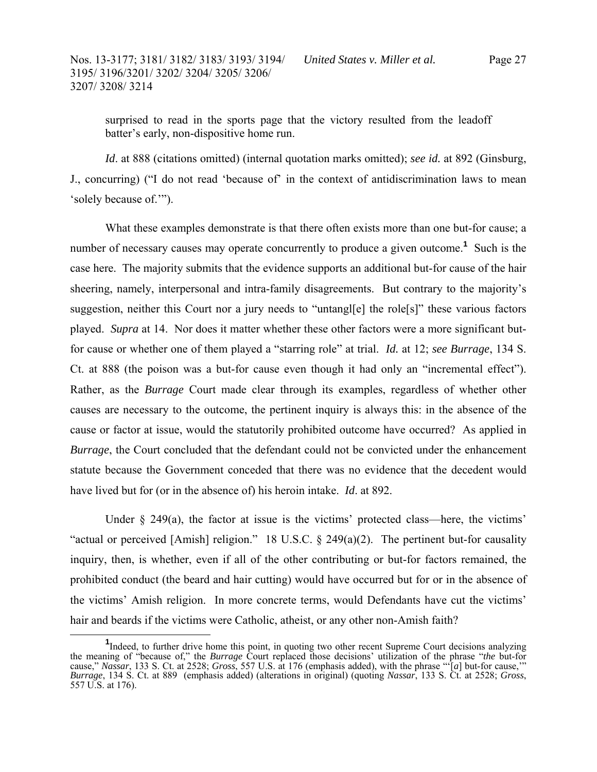surprised to read in the sports page that the victory resulted from the leadoff batter's early, non-dispositive home run.

*Id*. at 888 (citations omitted) (internal quotation marks omitted); *see id.* at 892 (Ginsburg, J., concurring) ("I do not read 'because of' in the context of antidiscrimination laws to mean 'solely because of.'").

What these examples demonstrate is that there often exists more than one but-for cause; a number of necessary causes may operate concurrently to produce a given outcome.<sup>1</sup> Such is the case here. The majority submits that the evidence supports an additional but-for cause of the hair sheering, namely, interpersonal and intra-family disagreements. But contrary to the majority's suggestion, neither this Court nor a jury needs to "untangle" the role<sup>[5]</sup>" these various factors played. *Supra* at 14. Nor does it matter whether these other factors were a more significant butfor cause or whether one of them played a "starring role" at trial. *Id.* at 12; *see Burrage*, 134 S. Ct. at 888 (the poison was a but-for cause even though it had only an "incremental effect"). Rather, as the *Burrage* Court made clear through its examples, regardless of whether other causes are necessary to the outcome, the pertinent inquiry is always this: in the absence of the cause or factor at issue, would the statutorily prohibited outcome have occurred? As applied in *Burrage*, the Court concluded that the defendant could not be convicted under the enhancement statute because the Government conceded that there was no evidence that the decedent would have lived but for (or in the absence of) his heroin intake. *Id*. at 892.

Under § 249(a), the factor at issue is the victims' protected class—here, the victims' "actual or perceived [Amish] religion." 18 U.S.C.  $\S$  249(a)(2). The pertinent but-for causality inquiry, then, is whether, even if all of the other contributing or but-for factors remained, the prohibited conduct (the beard and hair cutting) would have occurred but for or in the absence of the victims' Amish religion. In more concrete terms, would Defendants have cut the victims' hair and beards if the victims were Catholic, atheist, or any other non-Amish faith?

**<sup>1</sup>** <sup>1</sup>Indeed, to further drive home this point, in quoting two other recent Supreme Court decisions analyzing the meaning of "because of," the *Burrage* Court replaced those decisions' utilization of the phrase "*the* but-for cause," *Nassar*, 133 S. Ct. at 2528; *Gross*, 557 U.S. at 176 (emphasis added), with the phrase "'[*a*] but-for cause,'" *Burrage*, 134 S. Ct. at 889 (emphasis added) (alterations in original) (quoting *Nassar*, 133 S. Ct. at 2528; *Gross*, 557 U.S. at 176).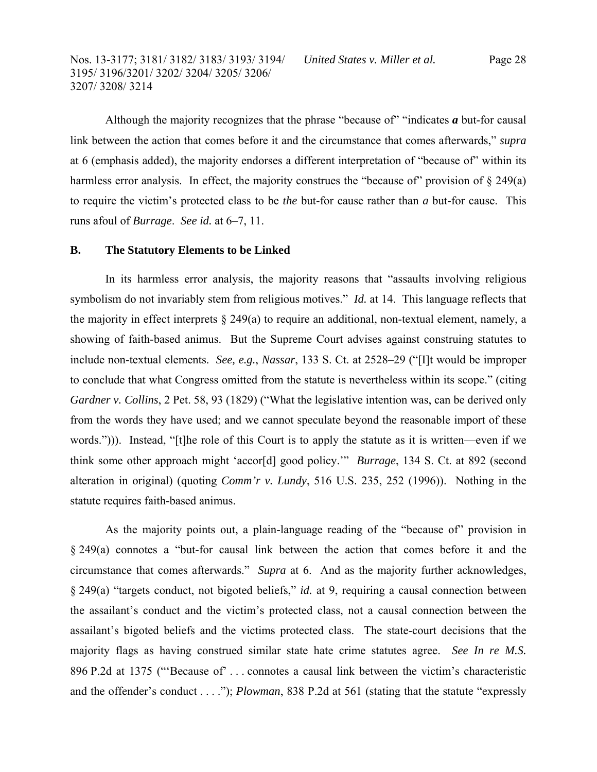Although the majority recognizes that the phrase "because of" "indicates *a* but-for causal link between the action that comes before it and the circumstance that comes afterwards," *supra* at 6 (emphasis added), the majority endorses a different interpretation of "because of" within its harmless error analysis. In effect, the majority construes the "because of" provision of  $\S$  249(a) to require the victim's protected class to be *the* but-for cause rather than *a* but-for cause. This runs afoul of *Burrage*. *See id.* at 6–7, 11.

#### **B. The Statutory Elements to be Linked**

In its harmless error analysis, the majority reasons that "assaults involving religious symbolism do not invariably stem from religious motives." *Id.* at 14. This language reflects that the majority in effect interprets § 249(a) to require an additional, non-textual element, namely, a showing of faith-based animus. But the Supreme Court advises against construing statutes to include non-textual elements. *See, e.g.*, *Nassar*, 133 S. Ct. at 2528–29 ("[I]t would be improper to conclude that what Congress omitted from the statute is nevertheless within its scope." (citing *Gardner v. Collins*, 2 Pet. 58, 93 (1829) ("What the legislative intention was, can be derived only from the words they have used; and we cannot speculate beyond the reasonable import of these words."))). Instead, "[t]he role of this Court is to apply the statute as it is written—even if we think some other approach might 'accor[d] good policy.'" *Burrage*, 134 S. Ct. at 892 (second alteration in original) (quoting *Comm'r v. Lundy*, 516 U.S. 235, 252 (1996)). Nothing in the statute requires faith-based animus.

As the majority points out, a plain-language reading of the "because of" provision in § 249(a) connotes a "but-for causal link between the action that comes before it and the circumstance that comes afterwards." *Supra* at 6. And as the majority further acknowledges, § 249(a) "targets conduct, not bigoted beliefs," *id.* at 9, requiring a causal connection between the assailant's conduct and the victim's protected class, not a causal connection between the assailant's bigoted beliefs and the victims protected class. The state-court decisions that the majority flags as having construed similar state hate crime statutes agree. *See In re M.S.* 896 P.2d at 1375 ("'Because of' . . . connotes a causal link between the victim's characteristic and the offender's conduct . . . ."); *Plowman*, 838 P.2d at 561 (stating that the statute "expressly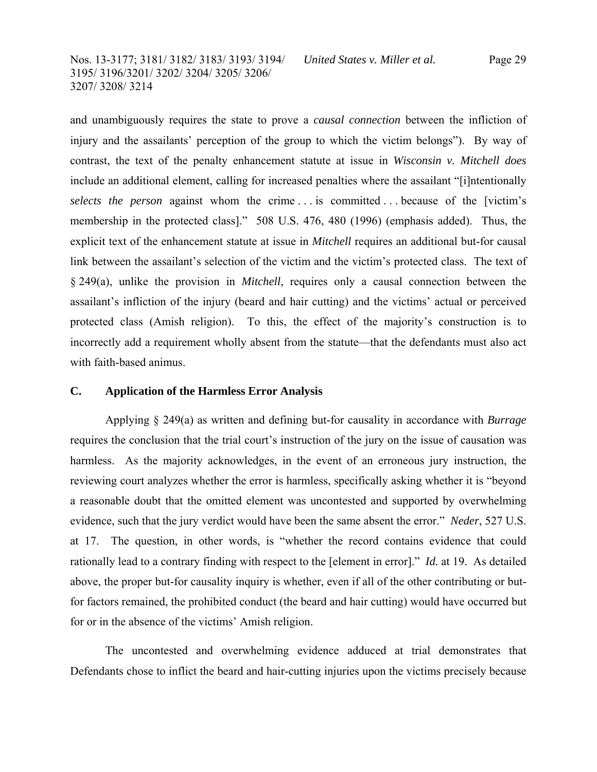and unambiguously requires the state to prove a *causal connection* between the infliction of injury and the assailants' perception of the group to which the victim belongs"). By way of contrast, the text of the penalty enhancement statute at issue in *Wisconsin v. Mitchell does* include an additional element, calling for increased penalties where the assailant "[i]ntentionally *selects the person* against whom the crime . . . is committed . . . because of the [victim's membership in the protected class]." 508 U.S. 476, 480 (1996) (emphasis added). Thus, the explicit text of the enhancement statute at issue in *Mitchell* requires an additional but-for causal link between the assailant's selection of the victim and the victim's protected class. The text of § 249(a), unlike the provision in *Mitchell*, requires only a causal connection between the assailant's infliction of the injury (beard and hair cutting) and the victims' actual or perceived protected class (Amish religion). To this, the effect of the majority's construction is to incorrectly add a requirement wholly absent from the statute—that the defendants must also act with faith-based animus.

### **C. Application of the Harmless Error Analysis**

Applying § 249(a) as written and defining but-for causality in accordance with *Burrage* requires the conclusion that the trial court's instruction of the jury on the issue of causation was harmless. As the majority acknowledges, in the event of an erroneous jury instruction, the reviewing court analyzes whether the error is harmless, specifically asking whether it is "beyond a reasonable doubt that the omitted element was uncontested and supported by overwhelming evidence, such that the jury verdict would have been the same absent the error." *Neder*, 527 U.S. at 17. The question, in other words, is "whether the record contains evidence that could rationally lead to a contrary finding with respect to the [element in error]." *Id.* at 19. As detailed above, the proper but-for causality inquiry is whether, even if all of the other contributing or butfor factors remained, the prohibited conduct (the beard and hair cutting) would have occurred but for or in the absence of the victims' Amish religion.

The uncontested and overwhelming evidence adduced at trial demonstrates that Defendants chose to inflict the beard and hair-cutting injuries upon the victims precisely because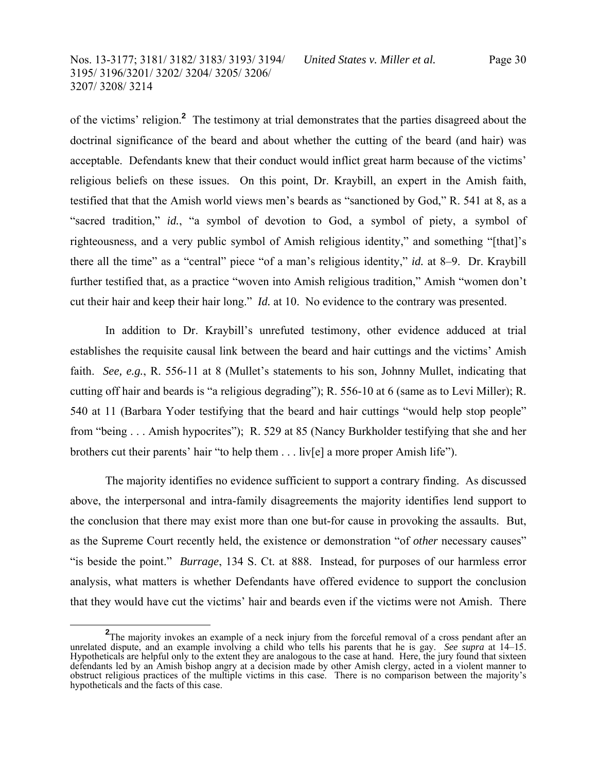of the victims' religion.**<sup>2</sup>** The testimony at trial demonstrates that the parties disagreed about the doctrinal significance of the beard and about whether the cutting of the beard (and hair) was acceptable. Defendants knew that their conduct would inflict great harm because of the victims' religious beliefs on these issues. On this point, Dr. Kraybill, an expert in the Amish faith, testified that that the Amish world views men's beards as "sanctioned by God," R. 541 at 8, as a "sacred tradition," *id.*, "a symbol of devotion to God, a symbol of piety, a symbol of righteousness, and a very public symbol of Amish religious identity," and something "[that]'s there all the time" as a "central" piece "of a man's religious identity," *id.* at 8–9. Dr. Kraybill further testified that, as a practice "woven into Amish religious tradition," Amish "women don't cut their hair and keep their hair long." *Id.* at 10. No evidence to the contrary was presented.

In addition to Dr. Kraybill's unrefuted testimony, other evidence adduced at trial establishes the requisite causal link between the beard and hair cuttings and the victims' Amish faith. *See, e.g.*, R. 556-11 at 8 (Mullet's statements to his son, Johnny Mullet, indicating that cutting off hair and beards is "a religious degrading"); R. 556-10 at 6 (same as to Levi Miller); R. 540 at 11 (Barbara Yoder testifying that the beard and hair cuttings "would help stop people" from "being . . . Amish hypocrites"); R. 529 at 85 (Nancy Burkholder testifying that she and her brothers cut their parents' hair "to help them . . . liv[e] a more proper Amish life").

The majority identifies no evidence sufficient to support a contrary finding. As discussed above, the interpersonal and intra-family disagreements the majority identifies lend support to the conclusion that there may exist more than one but-for cause in provoking the assaults. But, as the Supreme Court recently held, the existence or demonstration "of *other* necessary causes" "is beside the point." *Burrage*, 134 S. Ct. at 888. Instead, for purposes of our harmless error analysis, what matters is whether Defendants have offered evidence to support the conclusion that they would have cut the victims' hair and beards even if the victims were not Amish. There

**<sup>2</sup>** <sup>2</sup>The majority invokes an example of a neck injury from the forceful removal of a cross pendant after an unrelated dispute, and an example involving a child who tells his parents that he is gay. *See supra* at 14–15. Hypotheticals are helpful only to the extent they are analogous to the case at hand. Here, the jury found that sixteen defendants led by an Amish bishop angry at a decision made by other Amish clergy, acted in a violent manner to obstruct religious practices of the multiple victims in this case. There is no comparison between the majority's hypotheticals and the facts of this case.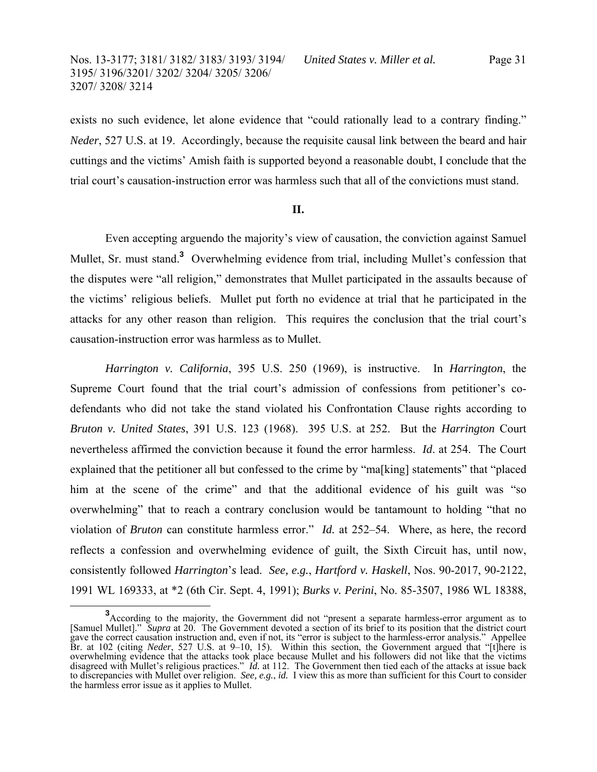exists no such evidence, let alone evidence that "could rationally lead to a contrary finding." *Neder*, 527 U.S. at 19. Accordingly, because the requisite causal link between the beard and hair cuttings and the victims' Amish faith is supported beyond a reasonable doubt, I conclude that the trial court's causation-instruction error was harmless such that all of the convictions must stand.

## **II.**

Even accepting arguendo the majority's view of causation, the conviction against Samuel Mullet, Sr. must stand.**<sup>3</sup>** Overwhelming evidence from trial, including Mullet's confession that the disputes were "all religion," demonstrates that Mullet participated in the assaults because of the victims' religious beliefs. Mullet put forth no evidence at trial that he participated in the attacks for any other reason than religion. This requires the conclusion that the trial court's causation-instruction error was harmless as to Mullet.

*Harrington v. California*, 395 U.S. 250 (1969), is instructive. In *Harrington*, the Supreme Court found that the trial court's admission of confessions from petitioner's codefendants who did not take the stand violated his Confrontation Clause rights according to *Bruton v. United States*, 391 U.S. 123 (1968). 395 U.S. at 252. But the *Harrington* Court nevertheless affirmed the conviction because it found the error harmless. *Id*. at 254. The Court explained that the petitioner all but confessed to the crime by "ma[king] statements" that "placed him at the scene of the crime" and that the additional evidence of his guilt was "so overwhelming" that to reach a contrary conclusion would be tantamount to holding "that no violation of *Bruton* can constitute harmless error." *Id.* at 252–54. Where, as here, the record reflects a confession and overwhelming evidence of guilt, the Sixth Circuit has, until now, consistently followed *Harrington*'*s* lead. *See, e.g.*, *Hartford v. Haskell*, Nos. 90-2017, 90-2122, 1991 WL 169333, at \*2 (6th Cir. Sept. 4, 1991); *Burks v. Perini*, No. 85-3507, 1986 WL 18388,

<sup>&</sup>lt;sup>3</sup> According to the majority, the Government did not "present a separate harmless-error argument as to [Samuel Mullet]." *Supra* at 20. The Government devoted a section of its brief to its position that the district court gave the correct causation instruction and, even if not, its "error is subject to the harmless-error analysis." Appellee Br. at 102 (citing *Neder*, 527 U.S. at 9–10, 15). Within this section, the Government argued that "[t]here is overwhelming evidence that the attacks took place because Mullet and his followers did not like that the victims disagreed with Mullet's religious practices." *Id.* at 112. The Government then tied each of the attacks at issue back to discrepancies with Mullet over religion. *See, e.g.*, *id.* I view this as more than sufficient for this Court to consider the harmless error issue as it applies to Mullet.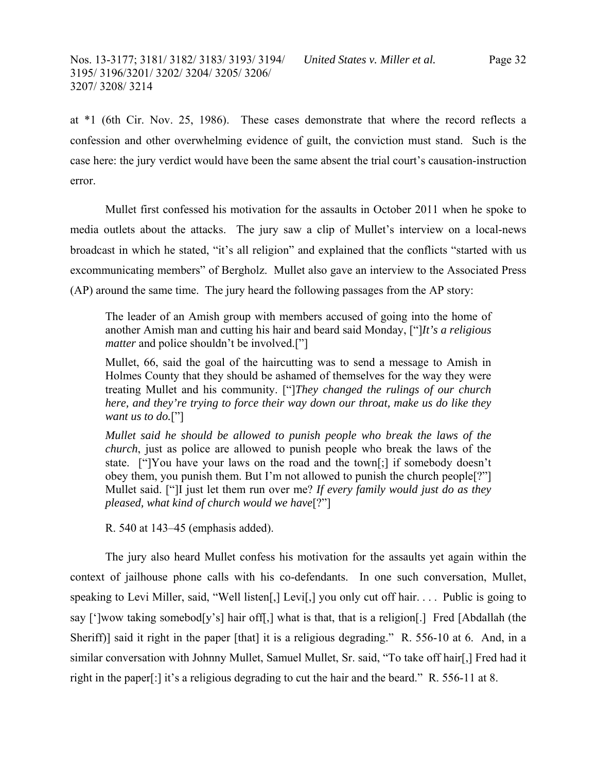Nos. 13-3177; 3181/ 3182/ 3183/ 3193/ 3194/ 3195/ 3196/3201/ 3202/ 3204/ 3205/ 3206/ 3207/ 3208/ 3214

at \*1 (6th Cir. Nov. 25, 1986). These cases demonstrate that where the record reflects a confession and other overwhelming evidence of guilt, the conviction must stand. Such is the case here: the jury verdict would have been the same absent the trial court's causation-instruction error.

Mullet first confessed his motivation for the assaults in October 2011 when he spoke to media outlets about the attacks. The jury saw a clip of Mullet's interview on a local-news broadcast in which he stated, "it's all religion" and explained that the conflicts "started with us excommunicating members" of Bergholz. Mullet also gave an interview to the Associated Press (AP) around the same time. The jury heard the following passages from the AP story:

The leader of an Amish group with members accused of going into the home of another Amish man and cutting his hair and beard said Monday, ["]*It's a religious matter* and police shouldn't be involved.["]

Mullet, 66, said the goal of the haircutting was to send a message to Amish in Holmes County that they should be ashamed of themselves for the way they were treating Mullet and his community. ["]*They changed the rulings of our church here, and they're trying to force their way down our throat, make us do like they want us to do.*["]

*Mullet said he should be allowed to punish people who break the laws of the church*, just as police are allowed to punish people who break the laws of the state. ["]You have your laws on the road and the town[;] if somebody doesn't obey them, you punish them. But I'm not allowed to punish the church people[?"] Mullet said. ["]I just let them run over me? *If every family would just do as they pleased, what kind of church would we have*[?"]

R. 540 at 143–45 (emphasis added).

The jury also heard Mullet confess his motivation for the assaults yet again within the context of jailhouse phone calls with his co-defendants. In one such conversation, Mullet, speaking to Levi Miller, said, "Well listen[,] Levi[,] you only cut off hair.... Public is going to say [']wow taking somebod[y's] hair off[,] what is that, that is a religion[.] Fred [Abdallah (the Sheriff)] said it right in the paper [that] it is a religious degrading." R. 556-10 at 6. And, in a similar conversation with Johnny Mullet, Samuel Mullet, Sr. said, "To take off hair[,] Fred had it right in the paper[:] it's a religious degrading to cut the hair and the beard." R. 556-11 at 8.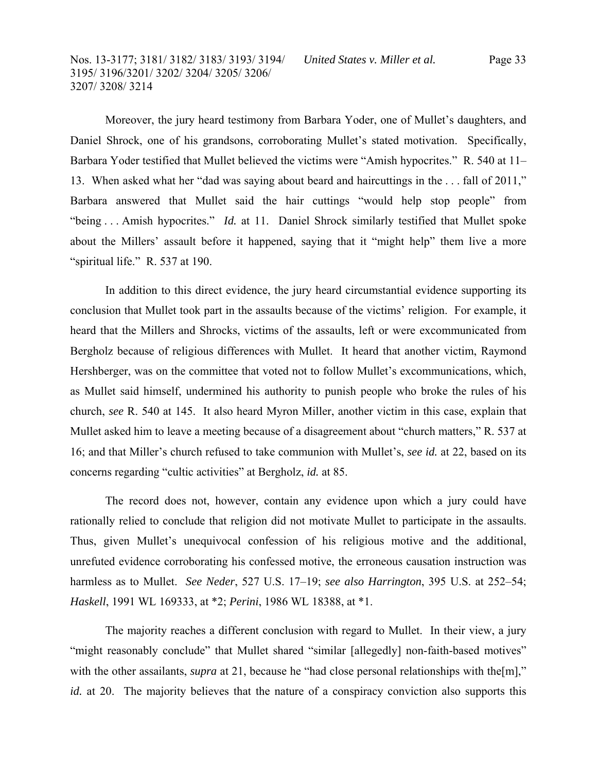Moreover, the jury heard testimony from Barbara Yoder, one of Mullet's daughters, and Daniel Shrock, one of his grandsons, corroborating Mullet's stated motivation. Specifically, Barbara Yoder testified that Mullet believed the victims were "Amish hypocrites." R. 540 at 11– 13. When asked what her "dad was saying about beard and haircuttings in the . . . fall of 2011," Barbara answered that Mullet said the hair cuttings "would help stop people" from "being . . . Amish hypocrites." *Id.* at 11. Daniel Shrock similarly testified that Mullet spoke about the Millers' assault before it happened, saying that it "might help" them live a more "spiritual life." R. 537 at 190.

In addition to this direct evidence, the jury heard circumstantial evidence supporting its conclusion that Mullet took part in the assaults because of the victims' religion. For example, it heard that the Millers and Shrocks, victims of the assaults, left or were excommunicated from Bergholz because of religious differences with Mullet. It heard that another victim, Raymond Hershberger, was on the committee that voted not to follow Mullet's excommunications, which, as Mullet said himself, undermined his authority to punish people who broke the rules of his church, *see* R. 540 at 145. It also heard Myron Miller, another victim in this case, explain that Mullet asked him to leave a meeting because of a disagreement about "church matters," R. 537 at 16; and that Miller's church refused to take communion with Mullet's, *see id.* at 22, based on its concerns regarding "cultic activities" at Bergholz, *id.* at 85.

The record does not, however, contain any evidence upon which a jury could have rationally relied to conclude that religion did not motivate Mullet to participate in the assaults. Thus, given Mullet's unequivocal confession of his religious motive and the additional, unrefuted evidence corroborating his confessed motive, the erroneous causation instruction was harmless as to Mullet. *See Neder*, 527 U.S. 17–19; *see also Harrington*, 395 U.S. at 252–54; *Haskell*, 1991 WL 169333, at \*2; *Perini*, 1986 WL 18388, at \*1.

The majority reaches a different conclusion with regard to Mullet. In their view, a jury "might reasonably conclude" that Mullet shared "similar [allegedly] non-faith-based motives" with the other assailants, *supra* at 21, because he "had close personal relationships with the [m]," *id.* at 20. The majority believes that the nature of a conspiracy conviction also supports this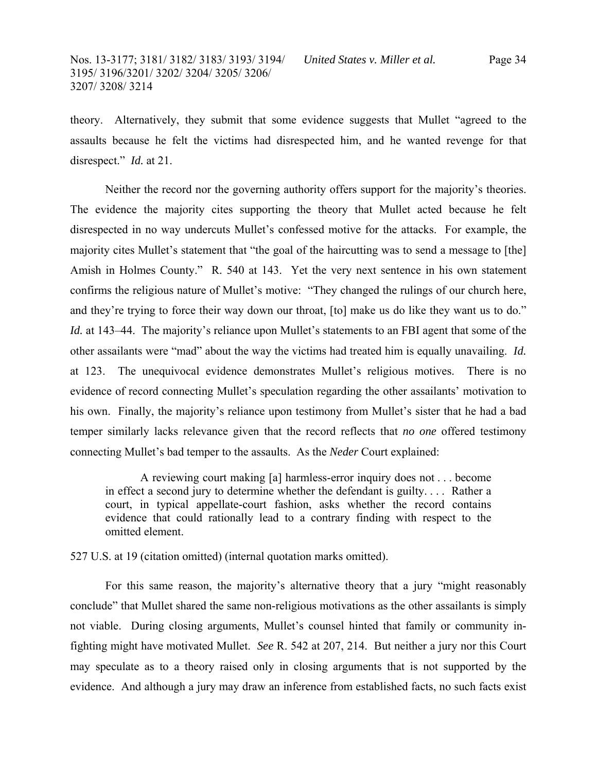theory. Alternatively, they submit that some evidence suggests that Mullet "agreed to the assaults because he felt the victims had disrespected him, and he wanted revenge for that disrespect." *Id.* at 21.

Neither the record nor the governing authority offers support for the majority's theories. The evidence the majority cites supporting the theory that Mullet acted because he felt disrespected in no way undercuts Mullet's confessed motive for the attacks. For example, the majority cites Mullet's statement that "the goal of the haircutting was to send a message to [the] Amish in Holmes County." R. 540 at 143. Yet the very next sentence in his own statement confirms the religious nature of Mullet's motive: "They changed the rulings of our church here, and they're trying to force their way down our throat, [to] make us do like they want us to do." *Id.* at 143–44. The majority's reliance upon Mullet's statements to an FBI agent that some of the other assailants were "mad" about the way the victims had treated him is equally unavailing. *Id.*  at 123. The unequivocal evidence demonstrates Mullet's religious motives. There is no evidence of record connecting Mullet's speculation regarding the other assailants' motivation to his own. Finally, the majority's reliance upon testimony from Mullet's sister that he had a bad temper similarly lacks relevance given that the record reflects that *no one* offered testimony connecting Mullet's bad temper to the assaults. As the *Neder* Court explained:

A reviewing court making [a] harmless-error inquiry does not . . . become in effect a second jury to determine whether the defendant is guilty. . . . Rather a court, in typical appellate-court fashion, asks whether the record contains evidence that could rationally lead to a contrary finding with respect to the omitted element.

527 U.S. at 19 (citation omitted) (internal quotation marks omitted).

For this same reason, the majority's alternative theory that a jury "might reasonably conclude" that Mullet shared the same non-religious motivations as the other assailants is simply not viable. During closing arguments, Mullet's counsel hinted that family or community infighting might have motivated Mullet. *See* R. 542 at 207, 214. But neither a jury nor this Court may speculate as to a theory raised only in closing arguments that is not supported by the evidence. And although a jury may draw an inference from established facts, no such facts exist